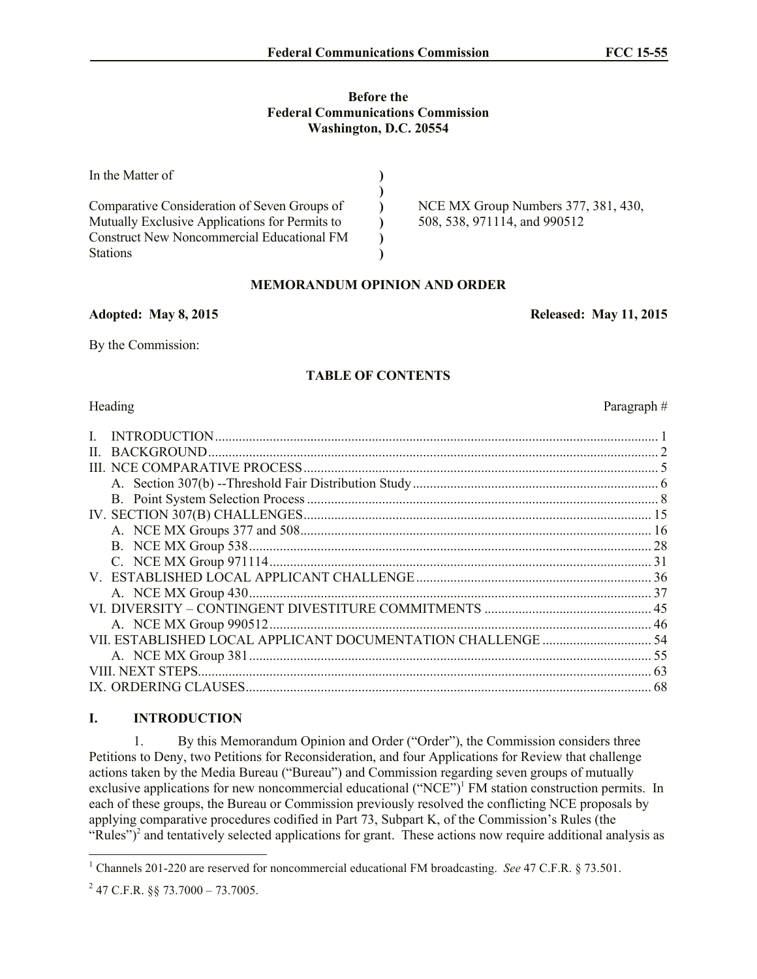#### **Before the Federal Communications Commission Washington, D.C. 20554**

| NCE MX Group Numbers 377, 381, 430,<br>508, 538, 971114, and 990512 |
|---------------------------------------------------------------------|
|                                                                     |
|                                                                     |

# **MEMORANDUM OPINION AND ORDER**

### **Adopted: May 8, 2015 Released: May 11, 2015**

By the Commission:

## **TABLE OF CONTENTS**

### Heading Paragraph #

|                        | . 28 |
|------------------------|------|
|                        |      |
|                        |      |
|                        |      |
|                        |      |
| A. NCE MX Group 990512 |      |
|                        |      |
|                        |      |
| VIII. NEXT STEPS       | 63   |
|                        | 68   |

# **I. INTRODUCTION**

1. By this Memorandum Opinion and Order ("Order"), the Commission considers three Petitions to Deny, two Petitions for Reconsideration, and four Applications for Review that challenge actions taken by the Media Bureau ("Bureau") and Commission regarding seven groups of mutually exclusive applications for new noncommercial educational ("NCE")<sup>1</sup> FM station construction permits. In each of these groups, the Bureau or Commission previously resolved the conflicting NCE proposals by applying comparative procedures codified in Part 73, Subpart K, of the Commission's Rules (the "Rules")<sup>2</sup> and tentatively selected applications for grant. These actions now require additional analysis as

 $\overline{a}$ 

<sup>1</sup> Channels 201-220 are reserved for noncommercial educational FM broadcasting. *See* 47 C.F.R. § 73.501.

 $^{2}$  47 C.F.R. §§ 73.7000 – 73.7005.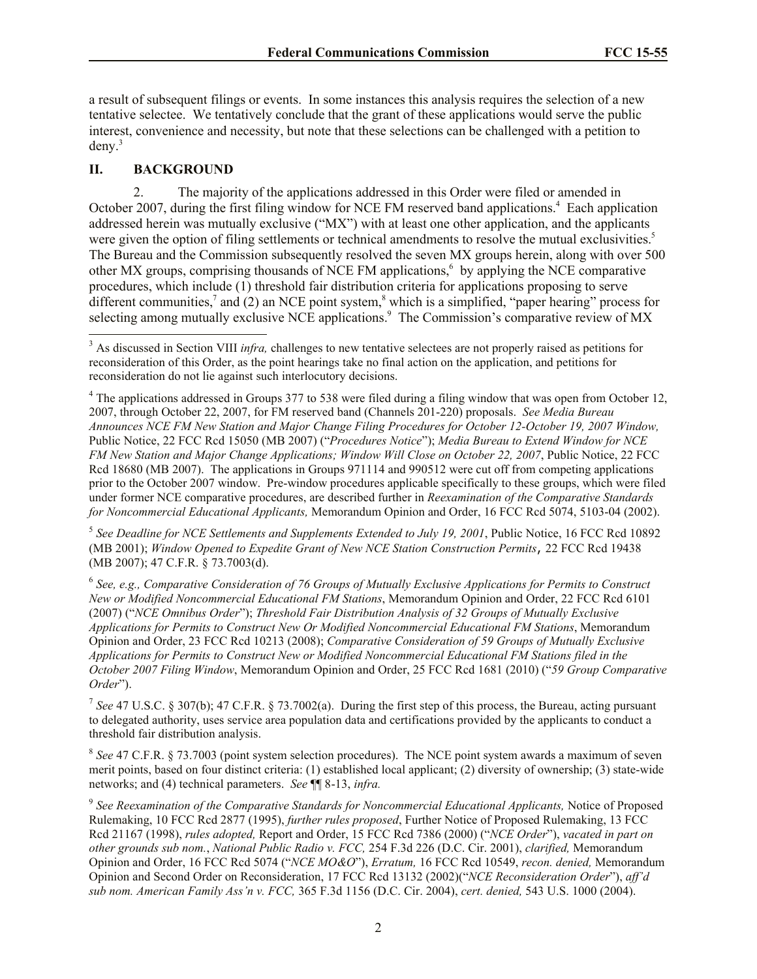a result of subsequent filings or events. In some instances this analysis requires the selection of a new tentative selectee. We tentatively conclude that the grant of these applications would serve the public interest, convenience and necessity, but note that these selections can be challenged with a petition to deny.<sup>3</sup>

## **II. BACKGROUND**

 $\overline{a}$ 

2. The majority of the applications addressed in this Order were filed or amended in October 2007, during the first filing window for NCE FM reserved band applications.<sup>4</sup> Each application addressed herein was mutually exclusive ("MX") with at least one other application, and the applicants were given the option of filing settlements or technical amendments to resolve the mutual exclusivities.<sup>5</sup> The Bureau and the Commission subsequently resolved the seven MX groups herein, along with over 500 other MX groups, comprising thousands of NCE FM applications,<sup>6</sup> by applying the NCE comparative procedures, which include (1) threshold fair distribution criteria for applications proposing to serve different communities,<sup>7</sup> and (2) an NCE point system,<sup>8</sup> which is a simplified, "paper hearing" process for selecting among mutually exclusive NCE applications.<sup>9</sup> The Commission's comparative review of MX

<sup>5</sup> See Deadline for NCE Settlements and Supplements Extended to July 19, 2001, Public Notice, 16 FCC Rcd 10892 (MB 2001); *Window Opened to Expedite Grant of New NCE Station Construction Permits*, 22 FCC Rcd 19438 (MB 2007); 47 C.F.R. § 73.7003(d).

6 *See, e.g., Comparative Consideration of 76 Groups of Mutually Exclusive Applications for Permits to Construct New or Modified Noncommercial Educational FM Stations*, Memorandum Opinion and Order, 22 FCC Rcd 6101 (2007) ("*NCE Omnibus Order*"); *Threshold Fair Distribution Analysis of 32 Groups of Mutually Exclusive Applications for Permits to Construct New Or Modified Noncommercial Educational FM Stations*, Memorandum Opinion and Order, 23 FCC Rcd 10213 (2008); *Comparative Consideration of 59 Groups of Mutually Exclusive Applications for Permits to Construct New or Modified Noncommercial Educational FM Stations filed in the October 2007 Filing Window*, Memorandum Opinion and Order, 25 FCC Rcd 1681 (2010) ("*59 Group Comparative Order*").

<sup>7</sup> See 47 U.S.C. § 307(b); 47 C.F.R. § 73.7002(a). During the first step of this process, the Bureau, acting pursuant to delegated authority, uses service area population data and certifications provided by the applicants to conduct a threshold fair distribution analysis.

<sup>8</sup> See 47 C.F.R. § 73.7003 (point system selection procedures). The NCE point system awards a maximum of seven merit points, based on four distinct criteria: (1) established local applicant; (2) diversity of ownership; (3) state-wide networks; and (4) technical parameters. *See* ¶¶ 8-13, *infra.*

<sup>&</sup>lt;sup>3</sup> As discussed in Section VIII *infra*, challenges to new tentative selectees are not properly raised as petitions for reconsideration of this Order, as the point hearings take no final action on the application, and petitions for reconsideration do not lie against such interlocutory decisions.

<sup>&</sup>lt;sup>4</sup> The applications addressed in Groups 377 to 538 were filed during a filing window that was open from October 12, 2007, through October 22, 2007, for FM reserved band (Channels 201-220) proposals. *See Media Bureau Announces NCE FM New Station and Major Change Filing Procedures for October 12-October 19, 2007 Window,*  Public Notice, 22 FCC Rcd 15050 (MB 2007) ("*Procedures Notice*"); *Media Bureau to Extend Window for NCE FM New Station and Major Change Applications; Window Will Close on October 22, 2007*, Public Notice, 22 FCC Rcd 18680 (MB 2007). The applications in Groups 971114 and 990512 were cut off from competing applications prior to the October 2007 window. Pre-window procedures applicable specifically to these groups, which were filed under former NCE comparative procedures, are described further in *Reexamination of the Comparative Standards for Noncommercial Educational Applicants,* Memorandum Opinion and Order, 16 FCC Rcd 5074, 5103-04 (2002).

<sup>&</sup>lt;sup>9</sup> See Reexamination of the Comparative Standards for Noncommercial Educational Applicants, Notice of Proposed Rulemaking, 10 FCC Rcd 2877 (1995), *further rules proposed*, Further Notice of Proposed Rulemaking, 13 FCC Rcd 21167 (1998), *rules adopted,* Report and Order, 15 FCC Rcd 7386 (2000) ("*NCE Order*"), *vacated in part on other grounds sub nom.*, *National Public Radio v. FCC,* 254 F.3d 226 (D.C. Cir. 2001), *clarified,* Memorandum Opinion and Order, 16 FCC Rcd 5074 ("*NCE MO&O*"), *Erratum,* 16 FCC Rcd 10549, *recon. denied,* Memorandum Opinion and Second Order on Reconsideration, 17 FCC Rcd 13132 (2002)("*NCE Reconsideration Order*"), *aff'd sub nom. American Family Ass'n v. FCC,* 365 F.3d 1156 (D.C. Cir. 2004), *cert. denied,* 543 U.S. 1000 (2004).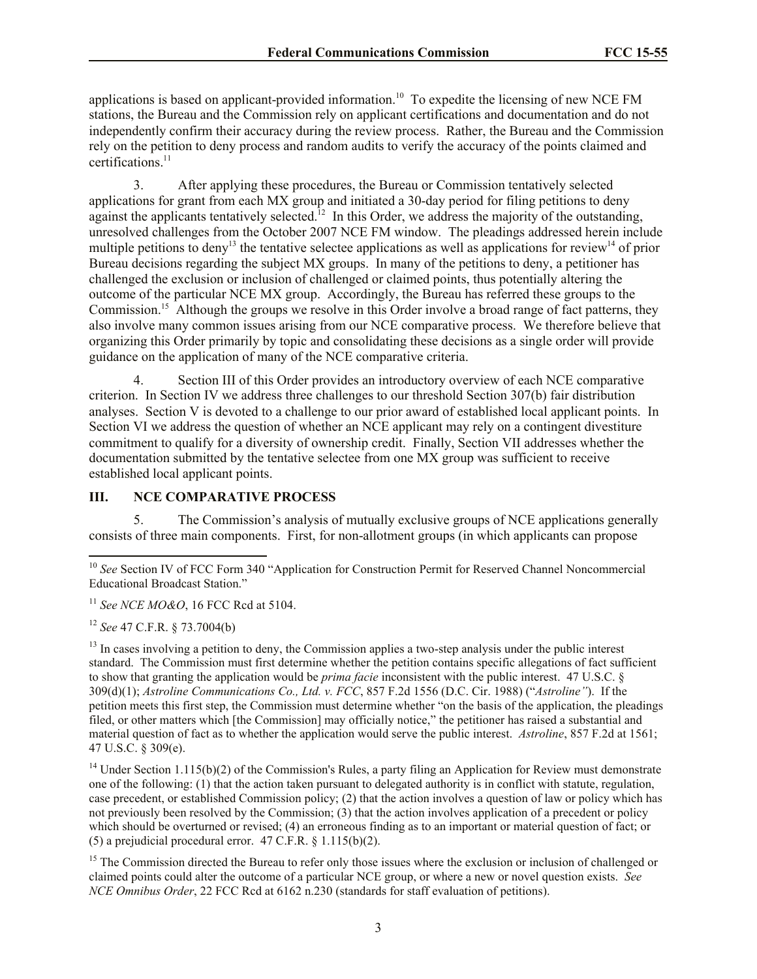applications is based on applicant-provided information.<sup>10</sup> To expedite the licensing of new NCE FM stations, the Bureau and the Commission rely on applicant certifications and documentation and do not independently confirm their accuracy during the review process. Rather, the Bureau and the Commission rely on the petition to deny process and random audits to verify the accuracy of the points claimed and certifications.<sup>11</sup>

3. After applying these procedures, the Bureau or Commission tentatively selected applications for grant from each MX group and initiated a 30-day period for filing petitions to deny against the applicants tentatively selected.<sup>12</sup> In this Order, we address the majority of the outstanding, unresolved challenges from the October 2007 NCE FM window. The pleadings addressed herein include multiple petitions to deny<sup>13</sup> the tentative selectee applications as well as applications for review<sup>14</sup> of prior Bureau decisions regarding the subject MX groups. In many of the petitions to deny, a petitioner has challenged the exclusion or inclusion of challenged or claimed points, thus potentially altering the outcome of the particular NCE MX group. Accordingly, the Bureau has referred these groups to the Commission.<sup>15</sup> Although the groups we resolve in this Order involve a broad range of fact patterns, they also involve many common issues arising from our NCE comparative process. We therefore believe that organizing this Order primarily by topic and consolidating these decisions as a single order will provide guidance on the application of many of the NCE comparative criteria.

4. Section III of this Order provides an introductory overview of each NCE comparative criterion. In Section IV we address three challenges to our threshold Section 307(b) fair distribution analyses. Section V is devoted to a challenge to our prior award of established local applicant points. In Section VI we address the question of whether an NCE applicant may rely on a contingent divestiture commitment to qualify for a diversity of ownership credit. Finally, Section VII addresses whether the documentation submitted by the tentative selectee from one MX group was sufficient to receive established local applicant points.

### **III. NCE COMPARATIVE PROCESS**

5. The Commission's analysis of mutually exclusive groups of NCE applications generally consists of three main components. First, for non-allotment groups (in which applicants can propose

<sup>11</sup> *See NCE MO&O*, 16 FCC Rcd at 5104.

<sup>12</sup> *See* 47 C.F.R. § 73.7004(b)

 $\overline{\phantom{a}}$ 

<sup>13</sup> In cases involving a petition to deny, the Commission applies a two-step analysis under the public interest standard. The Commission must first determine whether the petition contains specific allegations of fact sufficient to show that granting the application would be *prima facie* inconsistent with the public interest. 47 U.S.C. § 309(d)(1); *Astroline Communications Co., Ltd. v. FCC*, 857 F.2d 1556 (D.C. Cir. 1988) ("*Astroline"*). If the petition meets this first step, the Commission must determine whether "on the basis of the application, the pleadings filed, or other matters which [the Commission] may officially notice," the petitioner has raised a substantial and material question of fact as to whether the application would serve the public interest. *Astroline*, 857 F.2d at 1561; 47 U.S.C. § 309(e).

<sup>14</sup> Under Section 1.115(b)(2) of the Commission's Rules, a party filing an Application for Review must demonstrate one of the following: (1) that the action taken pursuant to delegated authority is in conflict with statute, regulation, case precedent, or established Commission policy; (2) that the action involves a question of law or policy which has not previously been resolved by the Commission; (3) that the action involves application of a precedent or policy which should be overturned or revised; (4) an erroneous finding as to an important or material question of fact; or (5) a prejudicial procedural error. 47 C.F.R. § 1.115(b)(2).

<sup>15</sup> The Commission directed the Bureau to refer only those issues where the exclusion or inclusion of challenged or claimed points could alter the outcome of a particular NCE group, or where a new or novel question exists. *See NCE Omnibus Order*, 22 FCC Rcd at 6162 n.230 (standards for staff evaluation of petitions).

<sup>&</sup>lt;sup>10</sup> See Section IV of FCC Form 340 "Application for Construction Permit for Reserved Channel Noncommercial Educational Broadcast Station."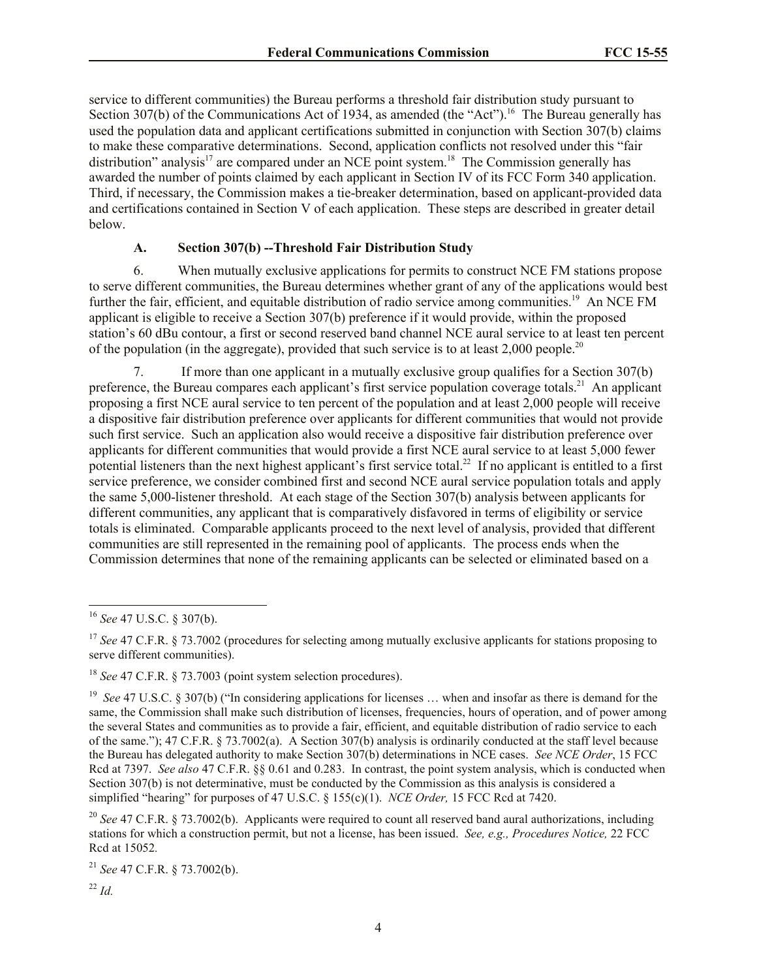service to different communities) the Bureau performs a threshold fair distribution study pursuant to Section 307(b) of the Communications Act of 1934, as amended (the "Act").<sup>16</sup> The Bureau generally has used the population data and applicant certifications submitted in conjunction with Section 307(b) claims to make these comparative determinations. Second, application conflicts not resolved under this "fair distribution" analysis<sup>17</sup> are compared under an NCE point system.<sup>18</sup> The Commission generally has awarded the number of points claimed by each applicant in Section IV of its FCC Form 340 application. Third, if necessary, the Commission makes a tie-breaker determination, based on applicant-provided data and certifications contained in Section V of each application. These steps are described in greater detail below.

## **A. Section 307(b) --Threshold Fair Distribution Study**

6. When mutually exclusive applications for permits to construct NCE FM stations propose to serve different communities, the Bureau determines whether grant of any of the applications would best further the fair, efficient, and equitable distribution of radio service among communities.<sup>19</sup> An NCE FM applicant is eligible to receive a Section 307(b) preference if it would provide, within the proposed station's 60 dBu contour, a first or second reserved band channel NCE aural service to at least ten percent of the population (in the aggregate), provided that such service is to at least  $2,000$  people.<sup>20</sup>

7. If more than one applicant in a mutually exclusive group qualifies for a Section 307(b) preference, the Bureau compares each applicant's first service population coverage totals.<sup>21</sup> An applicant proposing a first NCE aural service to ten percent of the population and at least 2,000 people will receive a dispositive fair distribution preference over applicants for different communities that would not provide such first service. Such an application also would receive a dispositive fair distribution preference over applicants for different communities that would provide a first NCE aural service to at least 5,000 fewer potential listeners than the next highest applicant's first service total.<sup>22</sup> If no applicant is entitled to a first service preference, we consider combined first and second NCE aural service population totals and apply the same 5,000-listener threshold. At each stage of the Section 307(b) analysis between applicants for different communities, any applicant that is comparatively disfavored in terms of eligibility or service totals is eliminated. Comparable applicants proceed to the next level of analysis, provided that different communities are still represented in the remaining pool of applicants. The process ends when the Commission determines that none of the remaining applicants can be selected or eliminated based on a

 $\overline{a}$ 

<sup>21</sup> *See* 47 C.F.R. § 73.7002(b).

<sup>16</sup> *See* 47 U.S.C. § 307(b).

<sup>&</sup>lt;sup>17</sup> *See* 47 C.F.R. § 73.7002 (procedures for selecting among mutually exclusive applicants for stations proposing to serve different communities).

<sup>18</sup> *See* 47 C.F.R. § 73.7003 (point system selection procedures).

<sup>19</sup> *See* 47 U.S.C. § 307(b) ("In considering applications for licenses … when and insofar as there is demand for the same, the Commission shall make such distribution of licenses, frequencies, hours of operation, and of power among the several States and communities as to provide a fair, efficient, and equitable distribution of radio service to each of the same."); 47 C.F.R. § 73.7002(a). A Section 307(b) analysis is ordinarily conducted at the staff level because the Bureau has delegated authority to make Section 307(b) determinations in NCE cases. *See NCE Order*, 15 FCC Rcd at 7397. *See also* 47 C.F.R. §§ 0.61 and 0.283. In contrast, the point system analysis, which is conducted when Section 307(b) is not determinative, must be conducted by the Commission as this analysis is considered a simplified "hearing" for purposes of 47 U.S.C. § 155(c)(1). *NCE Order,* 15 FCC Rcd at 7420.

<sup>20</sup> *See* 47 C.F.R. § 73.7002(b). Applicants were required to count all reserved band aural authorizations, including stations for which a construction permit, but not a license, has been issued. *See, e.g., Procedures Notice,* 22 FCC Rcd at 15052*.* 

<sup>22</sup> *Id.*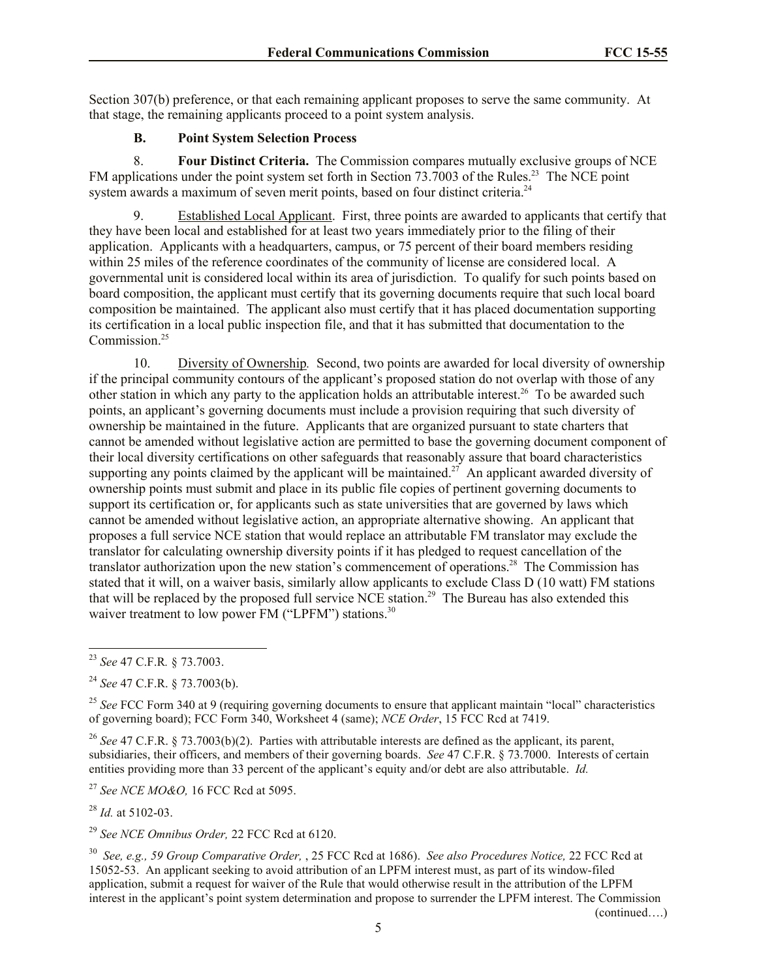Section 307(b) preference, or that each remaining applicant proposes to serve the same community. At that stage, the remaining applicants proceed to a point system analysis.

### **B. Point System Selection Process**

8. **Four Distinct Criteria.** The Commission compares mutually exclusive groups of NCE FM applications under the point system set forth in Section 73.7003 of the Rules.<sup>23</sup> The NCE point system awards a maximum of seven merit points, based on four distinct criteria.<sup>24</sup>

9. Established Local Applicant. First, three points are awarded to applicants that certify that they have been local and established for at least two years immediately prior to the filing of their application. Applicants with a headquarters, campus, or 75 percent of their board members residing within 25 miles of the reference coordinates of the community of license are considered local. A governmental unit is considered local within its area of jurisdiction. To qualify for such points based on board composition, the applicant must certify that its governing documents require that such local board composition be maintained. The applicant also must certify that it has placed documentation supporting its certification in a local public inspection file, and that it has submitted that documentation to the Commission.<sup>25</sup>

10. Diversity of Ownership*.* Second, two points are awarded for local diversity of ownership if the principal community contours of the applicant's proposed station do not overlap with those of any other station in which any party to the application holds an attributable interest.<sup>26</sup> To be awarded such points, an applicant's governing documents must include a provision requiring that such diversity of ownership be maintained in the future. Applicants that are organized pursuant to state charters that cannot be amended without legislative action are permitted to base the governing document component of their local diversity certifications on other safeguards that reasonably assure that board characteristics supporting any points claimed by the applicant will be maintained.<sup>27</sup> An applicant awarded diversity of ownership points must submit and place in its public file copies of pertinent governing documents to support its certification or, for applicants such as state universities that are governed by laws which cannot be amended without legislative action, an appropriate alternative showing. An applicant that proposes a full service NCE station that would replace an attributable FM translator may exclude the translator for calculating ownership diversity points if it has pledged to request cancellation of the translator authorization upon the new station's commencement of operations.<sup>28</sup> The Commission has stated that it will, on a waiver basis, similarly allow applicants to exclude Class D (10 watt) FM stations that will be replaced by the proposed full service NCE station.<sup>29</sup> The Bureau has also extended this waiver treatment to low power FM ("LPFM") stations. $30$ 

 $\overline{a}$ 

<sup>25</sup> See FCC Form 340 at 9 (requiring governing documents to ensure that applicant maintain "local" characteristics of governing board); FCC Form 340, Worksheet 4 (same); *NCE Order*, 15 FCC Rcd at 7419.

<sup>26</sup> *See* 47 C.F.R. § 73.7003(b)(2). Parties with attributable interests are defined as the applicant, its parent, subsidiaries, their officers, and members of their governing boards. *See* 47 C.F.R. § 73.7000. Interests of certain entities providing more than 33 percent of the applicant's equity and/or debt are also attributable. *Id.*

<sup>27</sup> *See NCE MO&O,* 16 FCC Rcd at 5095.

<sup>28</sup> *Id.* at 5102-03.

<sup>29</sup> *See NCE Omnibus Order,* 22 FCC Rcd at 6120.

30 *See, e.g., 59 Group Comparative Order,* , 25 FCC Rcd at 1686). *See also Procedures Notice,* 22 FCC Rcd at 15052-53. An applicant seeking to avoid attribution of an LPFM interest must, as part of its window-filed application, submit a request for waiver of the Rule that would otherwise result in the attribution of the LPFM interest in the applicant's point system determination and propose to surrender the LPFM interest. The Commission

(continued….)

<sup>23</sup> *See* 47 C.F.R*.* § 73.7003.

<sup>24</sup> *See* 47 C.F.R. § 73.7003(b).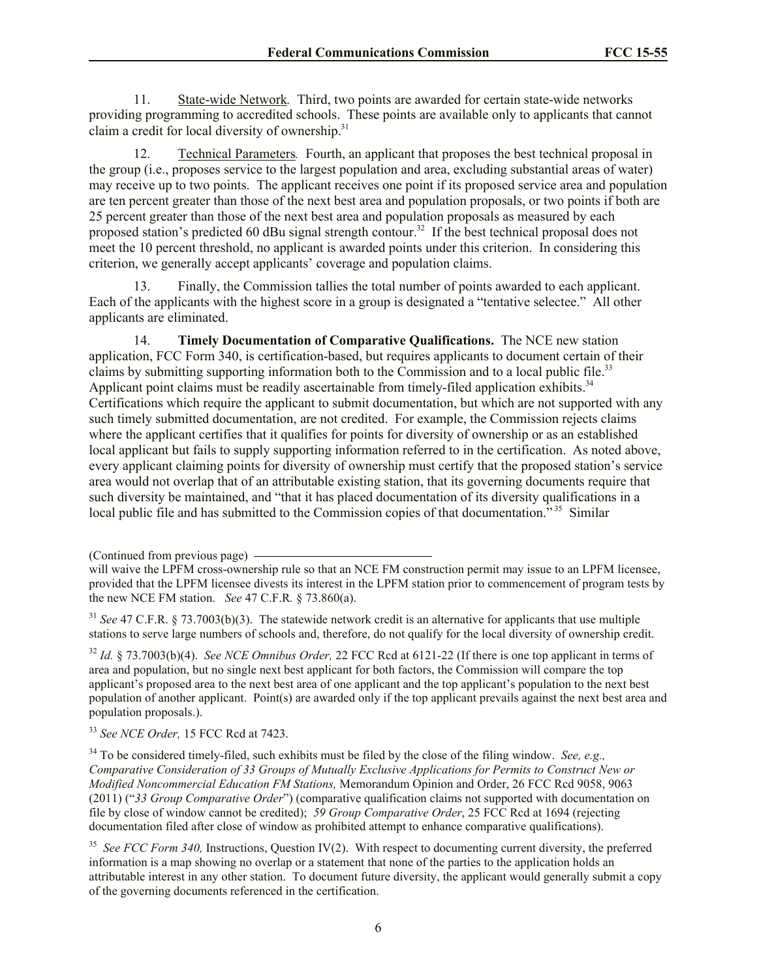11. State-wide Network*.* Third, two points are awarded for certain state-wide networks providing programming to accredited schools. These points are available only to applicants that cannot claim a credit for local diversity of ownership.<sup>31</sup>

12. Technical Parameters*.* Fourth, an applicant that proposes the best technical proposal in the group (i.e., proposes service to the largest population and area, excluding substantial areas of water) may receive up to two points. The applicant receives one point if its proposed service area and population are ten percent greater than those of the next best area and population proposals, or two points if both are 25 percent greater than those of the next best area and population proposals as measured by each proposed station's predicted 60 dBu signal strength contour.<sup>32</sup> If the best technical proposal does not meet the 10 percent threshold, no applicant is awarded points under this criterion. In considering this criterion, we generally accept applicants' coverage and population claims.

13. Finally, the Commission tallies the total number of points awarded to each applicant. Each of the applicants with the highest score in a group is designated a "tentative selectee." All other applicants are eliminated.

14. **Timely Documentation of Comparative Qualifications.** The NCE new station application, FCC Form 340, is certification-based, but requires applicants to document certain of their claims by submitting supporting information both to the Commission and to a local public file.<sup>33</sup> Applicant point claims must be readily ascertainable from timely-filed application exhibits.<sup>34</sup> Certifications which require the applicant to submit documentation, but which are not supported with any such timely submitted documentation, are not credited. For example, the Commission rejects claims where the applicant certifies that it qualifies for points for diversity of ownership or as an established local applicant but fails to supply supporting information referred to in the certification. As noted above, every applicant claiming points for diversity of ownership must certify that the proposed station's service area would not overlap that of an attributable existing station, that its governing documents require that such diversity be maintained, and "that it has placed documentation of its diversity qualifications in a local public file and has submitted to the Commission copies of that documentation."<sup>35</sup> Similar

<sup>32</sup> *Id.* § 73.7003(b)(4). *See NCE Omnibus Order,* 22 FCC Rcd at 6121-22 (If there is one top applicant in terms of area and population, but no single next best applicant for both factors, the Commission will compare the top applicant's proposed area to the next best area of one applicant and the top applicant's population to the next best population of another applicant. Point(s) are awarded only if the top applicant prevails against the next best area and population proposals.).

<sup>33</sup> *See NCE Order,* 15 FCC Rcd at 7423.

<sup>34</sup> To be considered timely-filed, such exhibits must be filed by the close of the filing window. *See, e.g., Comparative Consideration of 33 Groups of Mutually Exclusive Applications for Permits to Construct New or Modified Noncommercial Education FM Stations,* Memorandum Opinion and Order, 26 FCC Rcd 9058, 9063 (2011) ("*33 Group Comparative Order*") (comparative qualification claims not supported with documentation on file by close of window cannot be credited); *59 Group Comparative Order*, 25 FCC Rcd at 1694 (rejecting documentation filed after close of window as prohibited attempt to enhance comparative qualifications).

<sup>35</sup> See FCC Form 340, Instructions, Question IV(2). With respect to documenting current diversity, the preferred information is a map showing no overlap or a statement that none of the parties to the application holds an attributable interest in any other station. To document future diversity, the applicant would generally submit a copy of the governing documents referenced in the certification.

<sup>(</sup>Continued from previous page)

will waive the LPFM cross-ownership rule so that an NCE FM construction permit may issue to an LPFM licensee, provided that the LPFM licensee divests its interest in the LPFM station prior to commencement of program tests by the new NCE FM station. *See* 47 C.F.R*.* § 73.860(a).

<sup>&</sup>lt;sup>31</sup> *See* 47 C.F.R. § 73.7003(b)(3). The statewide network credit is an alternative for applicants that use multiple stations to serve large numbers of schools and, therefore, do not qualify for the local diversity of ownership credit.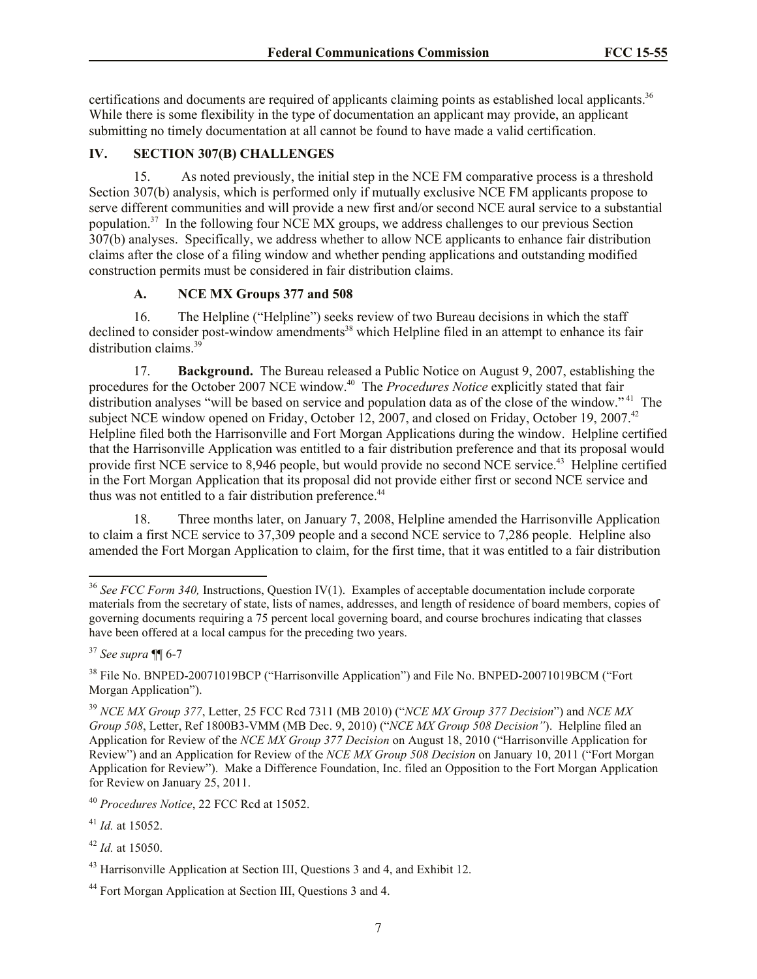certifications and documents are required of applicants claiming points as established local applicants.<sup>36</sup> While there is some flexibility in the type of documentation an applicant may provide, an applicant submitting no timely documentation at all cannot be found to have made a valid certification.

## **IV. SECTION 307(B) CHALLENGES**

15. As noted previously, the initial step in the NCE FM comparative process is a threshold Section 307(b) analysis, which is performed only if mutually exclusive NCE FM applicants propose to serve different communities and will provide a new first and/or second NCE aural service to a substantial population.<sup>37</sup> In the following four NCE MX groups, we address challenges to our previous Section 307(b) analyses. Specifically, we address whether to allow NCE applicants to enhance fair distribution claims after the close of a filing window and whether pending applications and outstanding modified construction permits must be considered in fair distribution claims.

## **A. NCE MX Groups 377 and 508**

16. The Helpline ("Helpline") seeks review of two Bureau decisions in which the staff declined to consider post-window amendments<sup>38</sup> which Helpline filed in an attempt to enhance its fair distribution claims.<sup>39</sup>

17. **Background.** The Bureau released a Public Notice on August 9, 2007, establishing the procedures for the October 2007 NCE window.<sup>40</sup> The *Procedures Notice* explicitly stated that fair distribution analyses "will be based on service and population data as of the close of the window."<sup>41</sup> The subject NCE window opened on Friday, October 12, 2007, and closed on Friday, October 19, 2007.<sup>42</sup> Helpline filed both the Harrisonville and Fort Morgan Applications during the window. Helpline certified that the Harrisonville Application was entitled to a fair distribution preference and that its proposal would provide first NCE service to 8,946 people, but would provide no second NCE service.<sup>43</sup> Helpline certified in the Fort Morgan Application that its proposal did not provide either first or second NCE service and thus was not entitled to a fair distribution preference.<sup>44</sup>

18. Three months later, on January 7, 2008, Helpline amended the Harrisonville Application to claim a first NCE service to 37,309 people and a second NCE service to 7,286 people. Helpline also amended the Fort Morgan Application to claim, for the first time, that it was entitled to a fair distribution

 $\overline{a}$ 

<sup>&</sup>lt;sup>36</sup> See FCC Form 340, Instructions, Question IV(1). Examples of acceptable documentation include corporate materials from the secretary of state, lists of names, addresses, and length of residence of board members, copies of governing documents requiring a 75 percent local governing board, and course brochures indicating that classes have been offered at a local campus for the preceding two years.

<sup>37</sup> *See supra* ¶¶ 6-7

<sup>&</sup>lt;sup>38</sup> File No. BNPED-20071019BCP ("Harrisonville Application") and File No. BNPED-20071019BCM ("Fort Morgan Application").

<sup>39</sup> *NCE MX Group 377*, Letter, 25 FCC Rcd 7311 (MB 2010) ("*NCE MX Group 377 Decision*") and *NCE MX Group 508*, Letter, Ref 1800B3-VMM (MB Dec. 9, 2010) ("*NCE MX Group 508 Decision"*). Helpline filed an Application for Review of the *NCE MX Group 377 Decision* on August 18, 2010 ("Harrisonville Application for Review") and an Application for Review of the *NCE MX Group 508 Decision* on January 10, 2011 ("Fort Morgan Application for Review"). Make a Difference Foundation, Inc. filed an Opposition to the Fort Morgan Application for Review on January 25, 2011.

<sup>40</sup> *Procedures Notice*, 22 FCC Rcd at 15052.

<sup>41</sup> *Id.* at 15052.

<sup>42</sup> *Id.* at 15050.

<sup>&</sup>lt;sup>43</sup> Harrisonville Application at Section III, Questions 3 and 4, and Exhibit 12.

<sup>44</sup> Fort Morgan Application at Section III, Questions 3 and 4.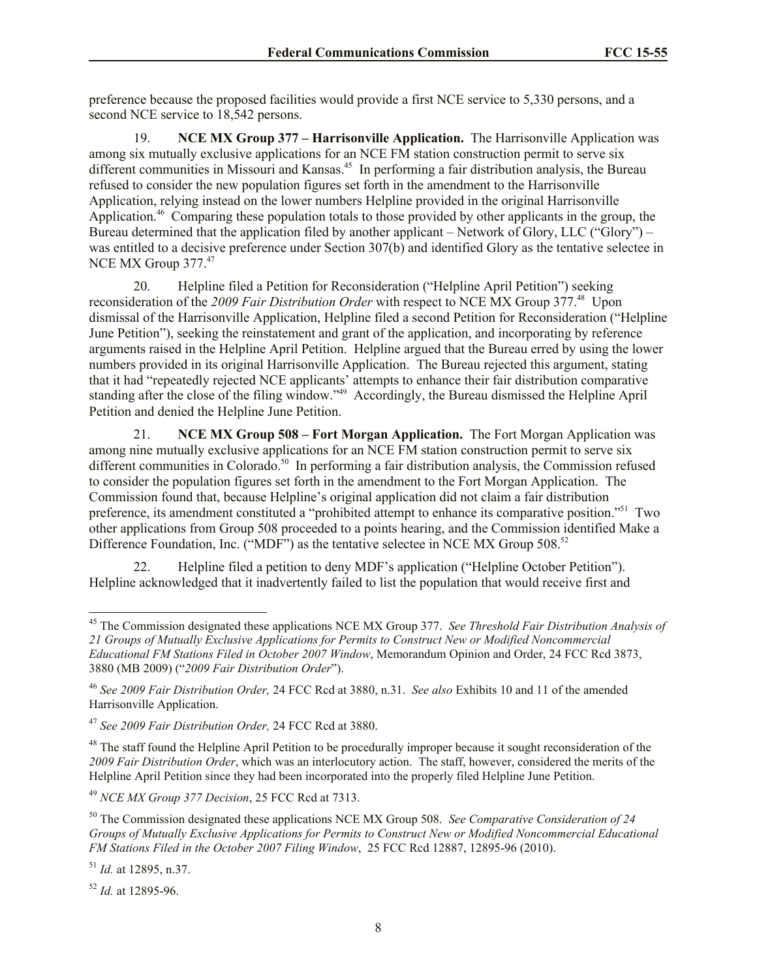preference because the proposed facilities would provide a first NCE service to 5,330 persons, and a second NCE service to 18,542 persons.

19. **NCE MX Group 377 – Harrisonville Application.** The Harrisonville Application was among six mutually exclusive applications for an NCE FM station construction permit to serve six different communities in Missouri and Kansas.<sup>45</sup> In performing a fair distribution analysis, the Bureau refused to consider the new population figures set forth in the amendment to the Harrisonville Application, relying instead on the lower numbers Helpline provided in the original Harrisonville Application.<sup>46</sup> Comparing these population totals to those provided by other applicants in the group, the Bureau determined that the application filed by another applicant – Network of Glory, LLC ("Glory") – was entitled to a decisive preference under Section 307(b) and identified Glory as the tentative selectee in NCE MX Group 377.<sup>47</sup>

20. Helpline filed a Petition for Reconsideration ("Helpline April Petition") seeking reconsideration of the 2009 Fair Distribution Order with respect to NCE MX Group 377.<sup>48</sup> Upon dismissal of the Harrisonville Application, Helpline filed a second Petition for Reconsideration ("Helpline June Petition"), seeking the reinstatement and grant of the application, and incorporating by reference arguments raised in the Helpline April Petition. Helpline argued that the Bureau erred by using the lower numbers provided in its original Harrisonville Application. The Bureau rejected this argument, stating that it had "repeatedly rejected NCE applicants' attempts to enhance their fair distribution comparative standing after the close of the filing window."<sup>49</sup> Accordingly, the Bureau dismissed the Helpline April Petition and denied the Helpline June Petition.

21. **NCE MX Group 508 – Fort Morgan Application.** The Fort Morgan Application was among nine mutually exclusive applications for an NCE FM station construction permit to serve six different communities in Colorado.<sup>50</sup> In performing a fair distribution analysis, the Commission refused to consider the population figures set forth in the amendment to the Fort Morgan Application. The Commission found that, because Helpline's original application did not claim a fair distribution preference, its amendment constituted a "prohibited attempt to enhance its comparative position."<sup>51</sup> Two other applications from Group 508 proceeded to a points hearing, and the Commission identified Make a Difference Foundation, Inc. ("MDF") as the tentative selectee in NCE MX Group 508.<sup>52</sup>

22. Helpline filed a petition to deny MDF's application ("Helpline October Petition"). Helpline acknowledged that it inadvertently failed to list the population that would receive first and

<sup>52</sup> *Id.* at 12895-96.

 $\overline{\phantom{a}}$ 

<sup>45</sup> The Commission designated these applications NCE MX Group 377. *See Threshold Fair Distribution Analysis of 21 Groups of Mutually Exclusive Applications for Permits to Construct New or Modified Noncommercial Educational FM Stations Filed in October 2007 Window*, Memorandum Opinion and Order, 24 FCC Rcd 3873, 3880 (MB 2009) ("*2009 Fair Distribution Order*").

<sup>46</sup> *See 2009 Fair Distribution Order,* 24 FCC Rcd at 3880, n.31. *See also* Exhibits 10 and 11 of the amended Harrisonville Application.

<sup>47</sup> *See 2009 Fair Distribution Order,* 24 FCC Rcd at 3880.

<sup>&</sup>lt;sup>48</sup> The staff found the Helpline April Petition to be procedurally improper because it sought reconsideration of the *2009 Fair Distribution Order*, which was an interlocutory action. The staff, however, considered the merits of the Helpline April Petition since they had been incorporated into the properly filed Helpline June Petition.

<sup>49</sup> *NCE MX Group 377 Decision*, 25 FCC Rcd at 7313.

<sup>50</sup> The Commission designated these applications NCE MX Group 508. *See Comparative Consideration of 24 Groups of Mutually Exclusive Applications for Permits to Construct New or Modified Noncommercial Educational FM Stations Filed in the October 2007 Filing Window*, 25 FCC Rcd 12887, 12895-96 (2010).

<sup>51</sup> *Id.* at 12895, n.37.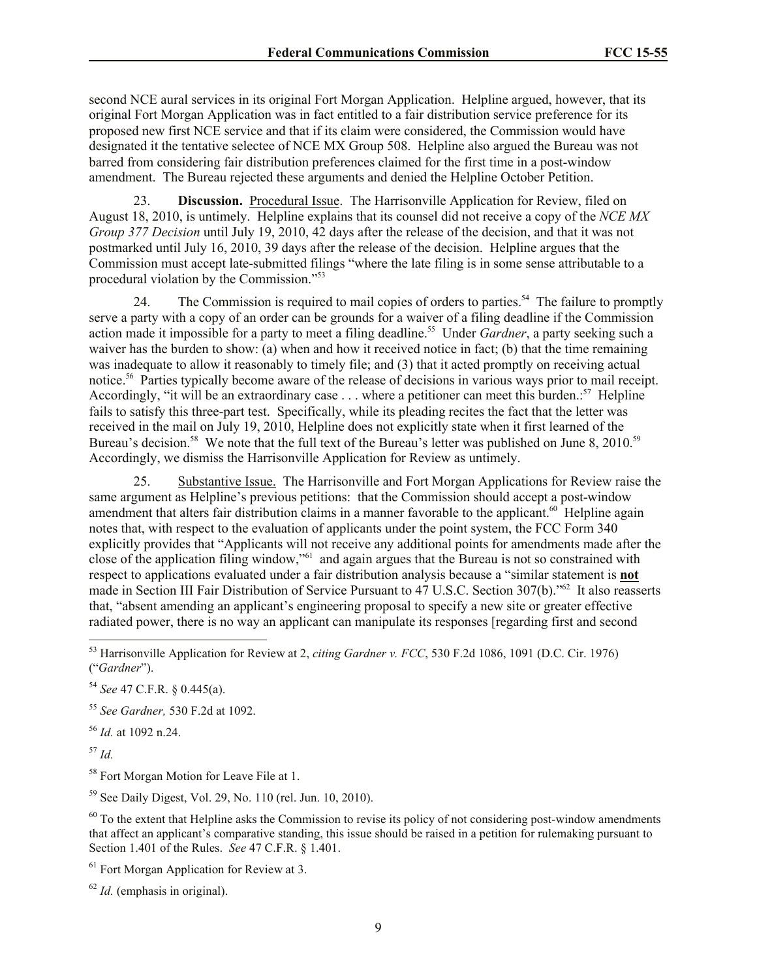second NCE aural services in its original Fort Morgan Application. Helpline argued, however, that its original Fort Morgan Application was in fact entitled to a fair distribution service preference for its proposed new first NCE service and that if its claim were considered, the Commission would have designated it the tentative selectee of NCE MX Group 508. Helpline also argued the Bureau was not barred from considering fair distribution preferences claimed for the first time in a post-window amendment. The Bureau rejected these arguments and denied the Helpline October Petition.

23. **Discussion.** Procedural Issue. The Harrisonville Application for Review, filed on August 18, 2010, is untimely. Helpline explains that its counsel did not receive a copy of the *NCE MX Group 377 Decision* until July 19, 2010, 42 days after the release of the decision, and that it was not postmarked until July 16, 2010, 39 days after the release of the decision. Helpline argues that the Commission must accept late-submitted filings "where the late filing is in some sense attributable to a procedural violation by the Commission."<sup>53</sup>

24. The Commission is required to mail copies of orders to parties.<sup>54</sup> The failure to promptly serve a party with a copy of an order can be grounds for a waiver of a filing deadline if the Commission action made it impossible for a party to meet a filing deadline.<sup>55</sup> Under *Gardner*, a party seeking such a waiver has the burden to show: (a) when and how it received notice in fact; (b) that the time remaining was inadequate to allow it reasonably to timely file; and (3) that it acted promptly on receiving actual notice.<sup>56</sup> Parties typically become aware of the release of decisions in various ways prior to mail receipt. Accordingly, "it will be an extraordinary case . . . where a petitioner can meet this burden.<sup>57</sup> Helpline fails to satisfy this three-part test. Specifically, while its pleading recites the fact that the letter was received in the mail on July 19, 2010, Helpline does not explicitly state when it first learned of the Bureau's decision.<sup>58</sup> We note that the full text of the Bureau's letter was published on June 8, 2010.<sup>59</sup> Accordingly, we dismiss the Harrisonville Application for Review as untimely.

25. Substantive Issue. The Harrisonville and Fort Morgan Applications for Review raise the same argument as Helpline's previous petitions: that the Commission should accept a post-window amendment that alters fair distribution claims in a manner favorable to the applicant.<sup>60</sup> Helpline again notes that, with respect to the evaluation of applicants under the point system, the FCC Form 340 explicitly provides that "Applicants will not receive any additional points for amendments made after the close of the application filing window,"<sup>61</sup> and again argues that the Bureau is not so constrained with respect to applications evaluated under a fair distribution analysis because a "similar statement is **not** made in Section III Fair Distribution of Service Pursuant to 47 U.S.C. Section 307(b)."<sup>62</sup> It also reasserts that, "absent amending an applicant's engineering proposal to specify a new site or greater effective radiated power, there is no way an applicant can manipulate its responses [regarding first and second

<sup>55</sup> *See Gardner,* 530 F.2d at 1092.

<sup>56</sup> *Id.* at 1092 n.24.

<sup>57</sup> *Id.*

 $\overline{\phantom{a}}$ 

<sup>58</sup> Fort Morgan Motion for Leave File at 1.

<sup>59</sup> See Daily Digest, Vol. 29, No. 110 (rel. Jun. 10, 2010).

 $60$  To the extent that Helpline asks the Commission to revise its policy of not considering post-window amendments that affect an applicant's comparative standing, this issue should be raised in a petition for rulemaking pursuant to Section 1.401 of the Rules. *See* 47 C.F.R. § 1.401.

 $<sup>61</sup>$  Fort Morgan Application for Review at 3.</sup>

<sup>62</sup> *Id.* (emphasis in original).

<sup>53</sup> Harrisonville Application for Review at 2, *citing Gardner v. FCC*, 530 F.2d 1086, 1091 (D.C. Cir. 1976) ("*Gardner*").

<sup>54</sup> *See* 47 C.F.R. § 0.445(a).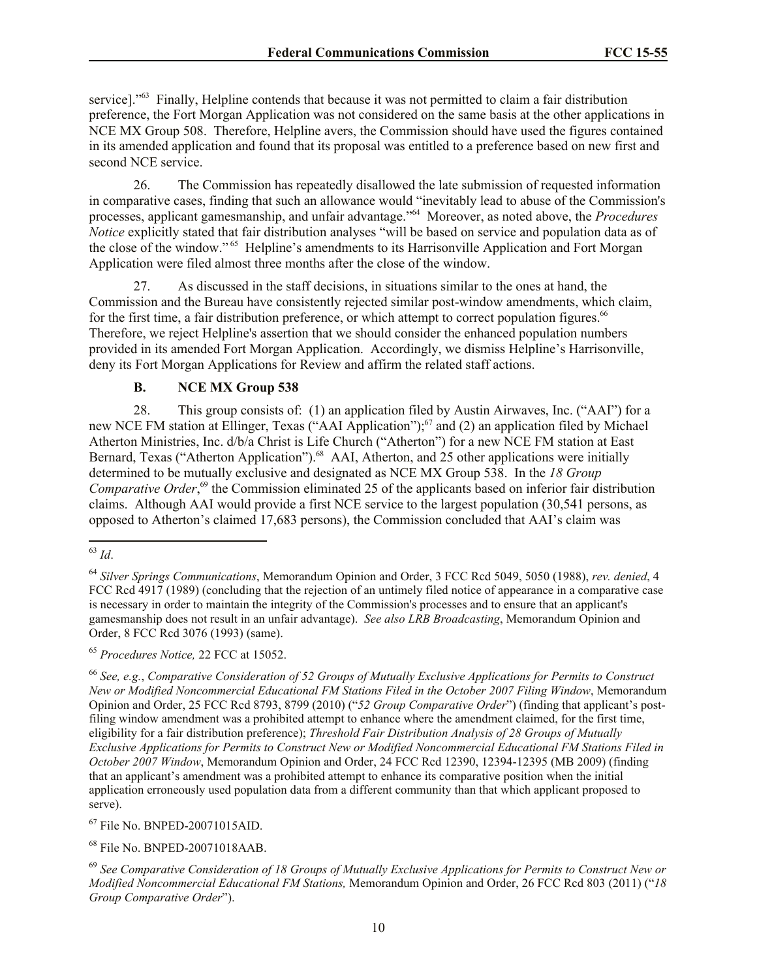service]."<sup>63</sup> Finally, Helpline contends that because it was not permitted to claim a fair distribution preference, the Fort Morgan Application was not considered on the same basis at the other applications in NCE MX Group 508. Therefore, Helpline avers, the Commission should have used the figures contained in its amended application and found that its proposal was entitled to a preference based on new first and second NCE service.

26. The Commission has repeatedly disallowed the late submission of requested information in comparative cases, finding that such an allowance would "inevitably lead to abuse of the Commission's processes, applicant gamesmanship, and unfair advantage."<sup>64</sup> Moreover, as noted above, the *Procedures Notice* explicitly stated that fair distribution analyses "will be based on service and population data as of the close of the window."<sup>65</sup> Helpline's amendments to its Harrisonville Application and Fort Morgan Application were filed almost three months after the close of the window.

27. As discussed in the staff decisions, in situations similar to the ones at hand, the Commission and the Bureau have consistently rejected similar post-window amendments, which claim, for the first time, a fair distribution preference, or which attempt to correct population figures.<sup>66</sup> Therefore, we reject Helpline's assertion that we should consider the enhanced population numbers provided in its amended Fort Morgan Application. Accordingly, we dismiss Helpline's Harrisonville, deny its Fort Morgan Applications for Review and affirm the related staff actions.

# **B. NCE MX Group 538**

28. This group consists of: (1) an application filed by Austin Airwaves, Inc. ("AAI") for a new NCE FM station at Ellinger, Texas ("AAI Application");<sup>67</sup> and (2) an application filed by Michael Atherton Ministries, Inc. d/b/a Christ is Life Church ("Atherton") for a new NCE FM station at East Bernard, Texas ("Atherton Application").<sup>68</sup> AAI, Atherton, and 25 other applications were initially determined to be mutually exclusive and designated as NCE MX Group 538. In the *18 Group*  Comparative Order,<sup>69</sup> the Commission eliminated 25 of the applicants based on inferior fair distribution claims. Although AAI would provide a first NCE service to the largest population (30,541 persons, as opposed to Atherton's claimed 17,683 persons), the Commission concluded that AAI's claim was

<sup>65</sup> *Procedures Notice,* 22 FCC at 15052.

<sup>67</sup> File No. BNPED-20071015AID.

<sup>68</sup> File No. BNPED-20071018AAB.

 $\overline{a}$ <sup>63</sup> *Id*.

<sup>64</sup> *Silver Springs Communications*, Memorandum Opinion and Order, 3 FCC Rcd 5049, 5050 (1988), *rev. denied*, 4 FCC Rcd 4917 (1989) (concluding that the rejection of an untimely filed notice of appearance in a comparative case is necessary in order to maintain the integrity of the Commission's processes and to ensure that an applicant's gamesmanship does not result in an unfair advantage). *See also LRB Broadcasting*, Memorandum Opinion and Order, 8 FCC Rcd 3076 (1993) (same).

<sup>66</sup> *See, e.g.*, *Comparative Consideration of 52 Groups of Mutually Exclusive Applications for Permits to Construct New or Modified Noncommercial Educational FM Stations Filed in the October 2007 Filing Window*, Memorandum Opinion and Order, 25 FCC Rcd 8793, 8799 (2010) ("*52 Group Comparative Order*") (finding that applicant's postfiling window amendment was a prohibited attempt to enhance where the amendment claimed, for the first time, eligibility for a fair distribution preference); *Threshold Fair Distribution Analysis of 28 Groups of Mutually Exclusive Applications for Permits to Construct New or Modified Noncommercial Educational FM Stations Filed in October 2007 Window*, Memorandum Opinion and Order, 24 FCC Rcd 12390, 12394-12395 (MB 2009) (finding that an applicant's amendment was a prohibited attempt to enhance its comparative position when the initial application erroneously used population data from a different community than that which applicant proposed to serve).

<sup>69</sup> *See Comparative Consideration of 18 Groups of Mutually Exclusive Applications for Permits to Construct New or Modified Noncommercial Educational FM Stations,* Memorandum Opinion and Order, 26 FCC Rcd 803 (2011) ("*18 Group Comparative Order*").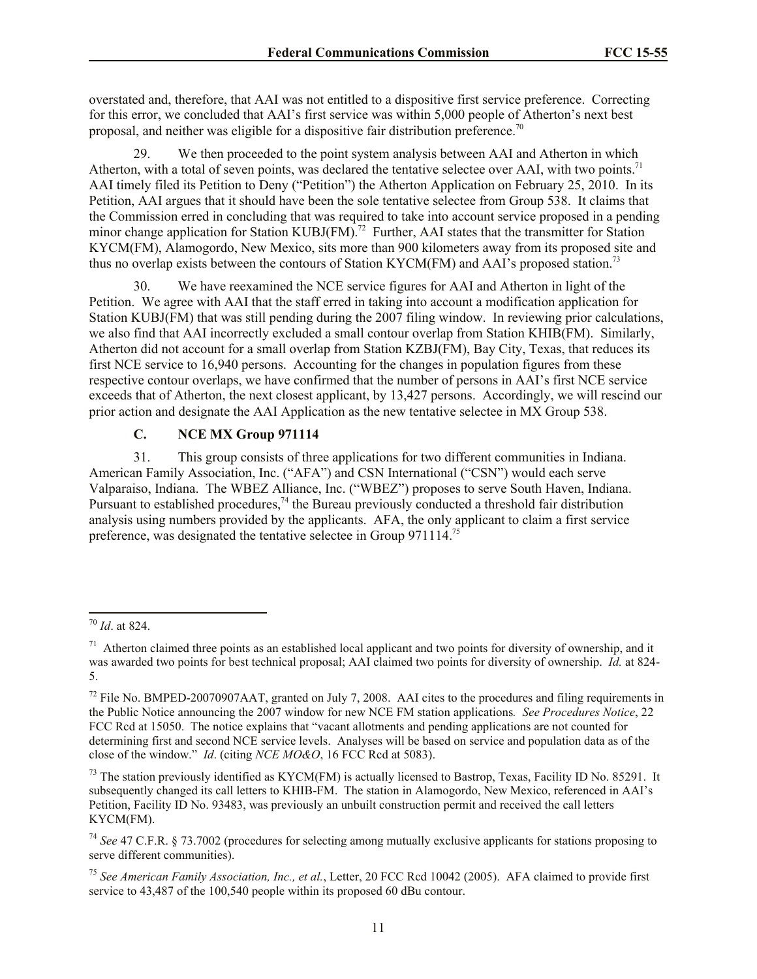overstated and, therefore, that AAI was not entitled to a dispositive first service preference. Correcting for this error, we concluded that AAI's first service was within 5,000 people of Atherton's next best proposal, and neither was eligible for a dispositive fair distribution preference.<sup>70</sup>

We then proceeded to the point system analysis between AAI and Atherton in which Atherton, with a total of seven points, was declared the tentative selectee over AAI, with two points.<sup>71</sup> AAI timely filed its Petition to Deny ("Petition") the Atherton Application on February 25, 2010. In its Petition, AAI argues that it should have been the sole tentative selectee from Group 538. It claims that the Commission erred in concluding that was required to take into account service proposed in a pending minor change application for Station KUBJ(FM).<sup>72</sup> Further, AAI states that the transmitter for Station KYCM(FM), Alamogordo, New Mexico, sits more than 900 kilometers away from its proposed site and thus no overlap exists between the contours of Station KYCM(FM) and AAI's proposed station.<sup>73</sup>

30. We have reexamined the NCE service figures for AAI and Atherton in light of the Petition. We agree with AAI that the staff erred in taking into account a modification application for Station KUBJ(FM) that was still pending during the 2007 filing window. In reviewing prior calculations, we also find that AAI incorrectly excluded a small contour overlap from Station KHIB(FM). Similarly, Atherton did not account for a small overlap from Station KZBJ(FM), Bay City, Texas, that reduces its first NCE service to 16,940 persons. Accounting for the changes in population figures from these respective contour overlaps, we have confirmed that the number of persons in AAI's first NCE service exceeds that of Atherton, the next closest applicant, by 13,427 persons. Accordingly, we will rescind our prior action and designate the AAI Application as the new tentative selectee in MX Group 538.

# **C. NCE MX Group 971114**

31. This group consists of three applications for two different communities in Indiana. American Family Association, Inc. ("AFA") and CSN International ("CSN") would each serve Valparaiso, Indiana. The WBEZ Alliance, Inc. ("WBEZ") proposes to serve South Haven, Indiana. Pursuant to established procedures,<sup>74</sup> the Bureau previously conducted a threshold fair distribution analysis using numbers provided by the applicants. AFA, the only applicant to claim a first service preference, was designated the tentative selectee in Group 971114.<sup>75</sup>

 $\overline{a}$ 

<sup>70</sup> *Id*. at 824.

 $71$  Atherton claimed three points as an established local applicant and two points for diversity of ownership, and it was awarded two points for best technical proposal; AAI claimed two points for diversity of ownership. *Id.* at 824- 5.

 $72$  File No. BMPED-20070907AAT, granted on July 7, 2008. AAI cites to the procedures and filing requirements in the Public Notice announcing the 2007 window for new NCE FM station applications*. See Procedures Notice*, 22 FCC Rcd at 15050. The notice explains that "vacant allotments and pending applications are not counted for determining first and second NCE service levels. Analyses will be based on service and population data as of the close of the window." *Id*. (citing *NCE MO&O*, 16 FCC Rcd at 5083).

 $73$  The station previously identified as KYCM(FM) is actually licensed to Bastrop, Texas, Facility ID No. 85291. It subsequently changed its call letters to KHIB-FM. The station in Alamogordo, New Mexico, referenced in AAI's Petition, Facility ID No. 93483, was previously an unbuilt construction permit and received the call letters KYCM(FM).

<sup>74</sup> *See* 47 C.F.R. § 73.7002 (procedures for selecting among mutually exclusive applicants for stations proposing to serve different communities).

<sup>75</sup> *See American Family Association, Inc., et al.*, Letter, 20 FCC Rcd 10042 (2005). AFA claimed to provide first service to 43,487 of the 100,540 people within its proposed 60 dBu contour.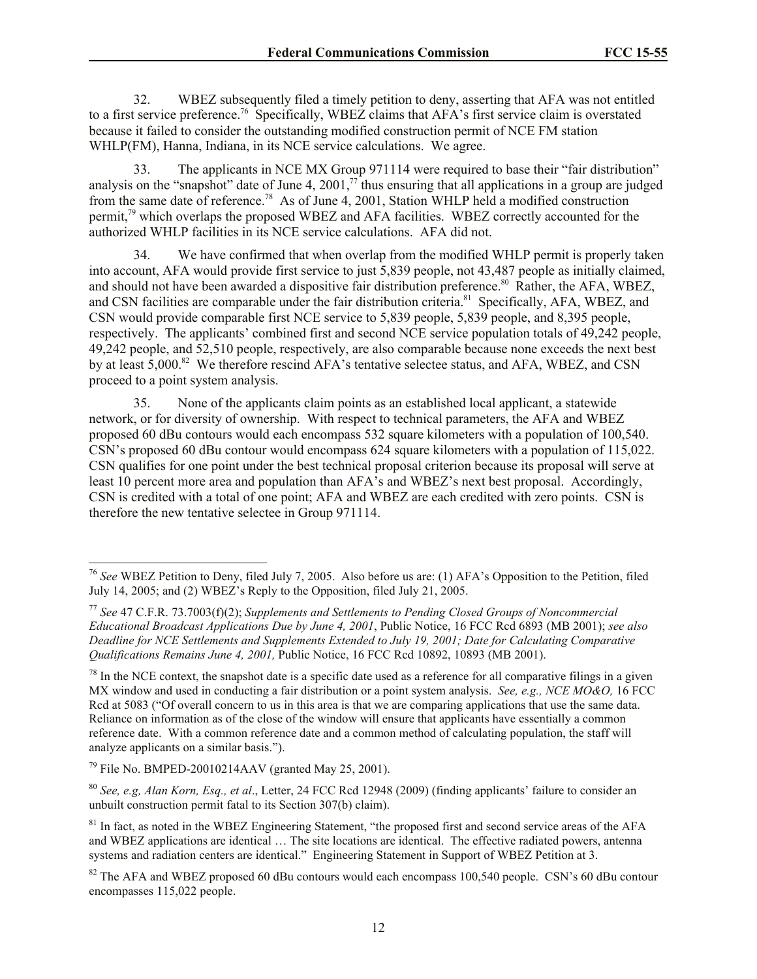32. WBEZ subsequently filed a timely petition to deny, asserting that AFA was not entitled to a first service preference.<sup>76</sup> Specifically, WBEZ claims that AFA's first service claim is overstated because it failed to consider the outstanding modified construction permit of NCE FM station WHLP(FM), Hanna, Indiana, in its NCE service calculations. We agree.

33. The applicants in NCE MX Group 971114 were required to base their "fair distribution" analysis on the "snapshot" date of June 4, 2001, $\frac{7}{1}$  thus ensuring that all applications in a group are judged from the same date of reference.<sup>78</sup> As of June 4, 2001, Station WHLP held a modified construction permit,<sup>79</sup> which overlaps the proposed WBEZ and AFA facilities. WBEZ correctly accounted for the authorized WHLP facilities in its NCE service calculations. AFA did not.

34. We have confirmed that when overlap from the modified WHLP permit is properly taken into account, AFA would provide first service to just 5,839 people, not 43,487 people as initially claimed, and should not have been awarded a dispositive fair distribution preference.<sup>80</sup> Rather, the AFA, WBEZ, and CSN facilities are comparable under the fair distribution criteria.<sup>81</sup> Specifically, AFA, WBEZ, and CSN would provide comparable first NCE service to 5,839 people, 5,839 people, and 8,395 people, respectively. The applicants' combined first and second NCE service population totals of 49,242 people, 49,242 people, and 52,510 people, respectively, are also comparable because none exceeds the next best by at least 5,000.<sup>82</sup> We therefore rescind AFA's tentative selectee status, and AFA, WBEZ, and CSN proceed to a point system analysis.

35. None of the applicants claim points as an established local applicant, a statewide network, or for diversity of ownership. With respect to technical parameters, the AFA and WBEZ proposed 60 dBu contours would each encompass 532 square kilometers with a population of 100,540. CSN's proposed 60 dBu contour would encompass 624 square kilometers with a population of 115,022. CSN qualifies for one point under the best technical proposal criterion because its proposal will serve at least 10 percent more area and population than AFA's and WBEZ's next best proposal. Accordingly, CSN is credited with a total of one point; AFA and WBEZ are each credited with zero points. CSN is therefore the new tentative selectee in Group 971114.

 $\overline{a}$ 

<sup>76</sup> *See* WBEZ Petition to Deny, filed July 7, 2005. Also before us are: (1) AFA's Opposition to the Petition, filed July 14, 2005; and (2) WBEZ's Reply to the Opposition, filed July 21, 2005.

<sup>77</sup> *See* 47 C.F.R. 73.7003(f)(2); *Supplements and Settlements to Pending Closed Groups of Noncommercial Educational Broadcast Applications Due by June 4, 2001*, Public Notice, 16 FCC Rcd 6893 (MB 2001); *see also Deadline for NCE Settlements and Supplements Extended to July 19, 2001; Date for Calculating Comparative Qualifications Remains June 4, 2001,* Public Notice, 16 FCC Rcd 10892, 10893 (MB 2001).

 $^{78}$  In the NCE context, the snapshot date is a specific date used as a reference for all comparative filings in a given MX window and used in conducting a fair distribution or a point system analysis. *See, e.g., NCE MO&O,* 16 FCC Rcd at 5083 ("Of overall concern to us in this area is that we are comparing applications that use the same data. Reliance on information as of the close of the window will ensure that applicants have essentially a common reference date. With a common reference date and a common method of calculating population, the staff will analyze applicants on a similar basis.").

 $^{79}$  File No. BMPED-20010214AAV (granted May 25, 2001).

<sup>80</sup> *See, e.g, Alan Korn, Esq., et al*., Letter, 24 FCC Rcd 12948 (2009) (finding applicants' failure to consider an unbuilt construction permit fatal to its Section 307(b) claim).

<sup>&</sup>lt;sup>81</sup> In fact, as noted in the WBEZ Engineering Statement, "the proposed first and second service areas of the AFA and WBEZ applications are identical … The site locations are identical. The effective radiated powers, antenna systems and radiation centers are identical." Engineering Statement in Support of WBEZ Petition at 3.

<sup>&</sup>lt;sup>82</sup> The AFA and WBEZ proposed 60 dBu contours would each encompass 100,540 people. CSN's 60 dBu contour encompasses 115,022 people.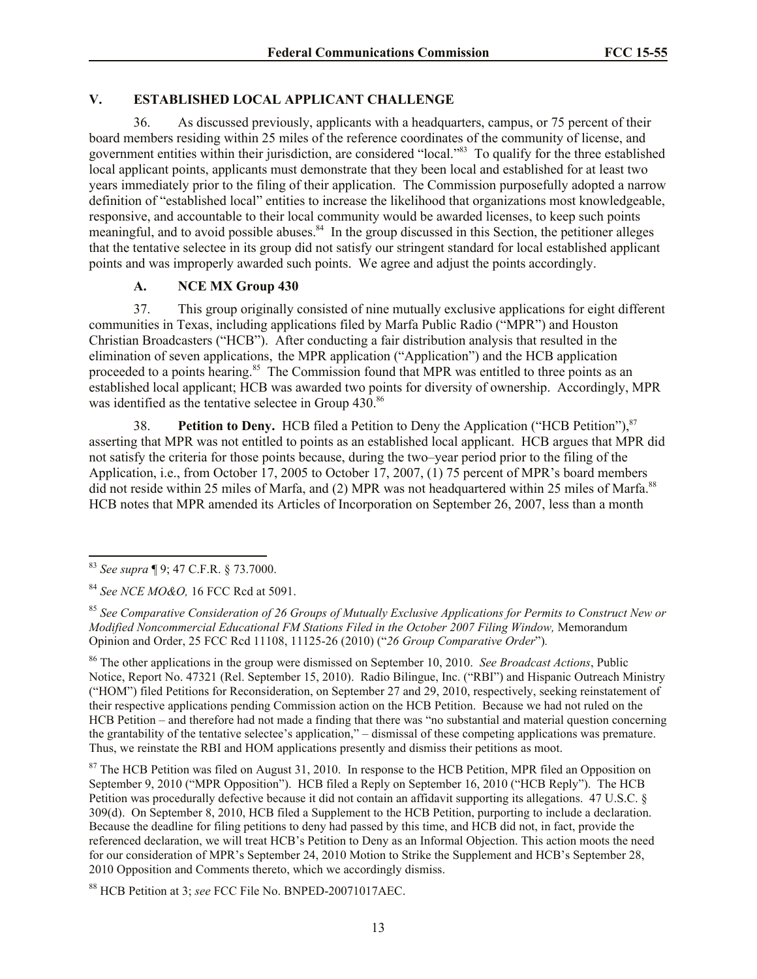# **V. ESTABLISHED LOCAL APPLICANT CHALLENGE**

36. As discussed previously, applicants with a headquarters, campus, or 75 percent of their board members residing within 25 miles of the reference coordinates of the community of license, and government entities within their jurisdiction, are considered "local."<sup>83</sup> To qualify for the three established local applicant points, applicants must demonstrate that they been local and established for at least two years immediately prior to the filing of their application. The Commission purposefully adopted a narrow definition of "established local" entities to increase the likelihood that organizations most knowledgeable, responsive, and accountable to their local community would be awarded licenses, to keep such points meaningful, and to avoid possible abuses.<sup>84</sup> In the group discussed in this Section, the petitioner alleges that the tentative selectee in its group did not satisfy our stringent standard for local established applicant points and was improperly awarded such points. We agree and adjust the points accordingly.

## **A. NCE MX Group 430**

37. This group originally consisted of nine mutually exclusive applications for eight different communities in Texas, including applications filed by Marfa Public Radio ("MPR") and Houston Christian Broadcasters ("HCB"). After conducting a fair distribution analysis that resulted in the elimination of seven applications, the MPR application ("Application") and the HCB application proceeded to a points hearing.<sup>85</sup> The Commission found that MPR was entitled to three points as an established local applicant; HCB was awarded two points for diversity of ownership. Accordingly, MPR was identified as the tentative selectee in Group 430.86

38. **Petition to Deny.** HCB filed a Petition to Deny the Application ("HCB Petition"),<sup>87</sup> asserting that MPR was not entitled to points as an established local applicant. HCB argues that MPR did not satisfy the criteria for those points because, during the two–year period prior to the filing of the Application, i.e., from October 17, 2005 to October 17, 2007, (1) 75 percent of MPR's board members did not reside within 25 miles of Marfa, and (2) MPR was not headquartered within 25 miles of Marfa.<sup>88</sup> HCB notes that MPR amended its Articles of Incorporation on September 26, 2007, less than a month

 $\overline{\phantom{a}}$ 

<sup>86</sup> The other applications in the group were dismissed on September 10, 2010. *See Broadcast Actions*, Public Notice, Report No. 47321 (Rel. September 15, 2010). Radio Bilingue, Inc. ("RBI") and Hispanic Outreach Ministry ("HOM") filed Petitions for Reconsideration, on September 27 and 29, 2010, respectively, seeking reinstatement of their respective applications pending Commission action on the HCB Petition. Because we had not ruled on the HCB Petition – and therefore had not made a finding that there was "no substantial and material question concerning the grantability of the tentative selectee's application," – dismissal of these competing applications was premature. Thus, we reinstate the RBI and HOM applications presently and dismiss their petitions as moot.

<sup>87</sup> The HCB Petition was filed on August 31, 2010. In response to the HCB Petition, MPR filed an Opposition on September 9, 2010 ("MPR Opposition"). HCB filed a Reply on September 16, 2010 ("HCB Reply"). The HCB Petition was procedurally defective because it did not contain an affidavit supporting its allegations. 47 U.S.C. § 309(d). On September 8, 2010, HCB filed a Supplement to the HCB Petition, purporting to include a declaration. Because the deadline for filing petitions to deny had passed by this time, and HCB did not, in fact, provide the referenced declaration, we will treat HCB's Petition to Deny as an Informal Objection. This action moots the need for our consideration of MPR's September 24, 2010 Motion to Strike the Supplement and HCB's September 28, 2010 Opposition and Comments thereto, which we accordingly dismiss.

<sup>88</sup> HCB Petition at 3; *see* FCC File No. BNPED-20071017AEC.

<sup>83</sup> *See supra* ¶ 9; 47 C.F.R. § 73.7000.

<sup>84</sup> *See NCE MO&O,* 16 FCC Rcd at 5091.

<sup>85</sup> *See Comparative Consideration of 26 Groups of Mutually Exclusive Applications for Permits to Construct New or Modified Noncommercial Educational FM Stations Filed in the October 2007 Filing Window,* Memorandum Opinion and Order, 25 FCC Rcd 11108, 11125-26 (2010) ("*26 Group Comparative Order*")*.*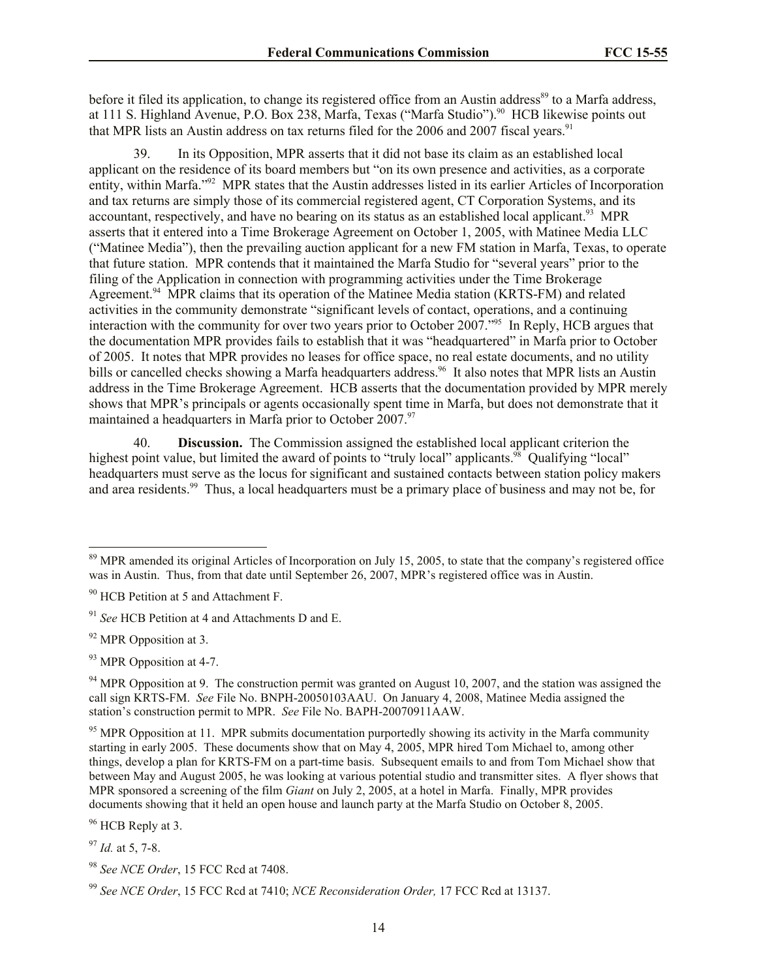before it filed its application, to change its registered office from an Austin address<sup>89</sup> to a Marfa address, at 111 S. Highland Avenue, P.O. Box 238, Marfa, Texas ("Marfa Studio").<sup>90</sup> HCB likewise points out that MPR lists an Austin address on tax returns filed for the 2006 and 2007 fiscal years.<sup>91</sup>

In its Opposition, MPR asserts that it did not base its claim as an established local applicant on the residence of its board members but "on its own presence and activities, as a corporate entity, within Marfa."<sup>92</sup> MPR states that the Austin addresses listed in its earlier Articles of Incorporation and tax returns are simply those of its commercial registered agent, CT Corporation Systems, and its accountant, respectively, and have no bearing on its status as an established local applicant.<sup>93</sup> MPR asserts that it entered into a Time Brokerage Agreement on October 1, 2005, with Matinee Media LLC ("Matinee Media"), then the prevailing auction applicant for a new FM station in Marfa, Texas, to operate that future station. MPR contends that it maintained the Marfa Studio for "several years" prior to the filing of the Application in connection with programming activities under the Time Brokerage Agreement.<sup>94</sup> MPR claims that its operation of the Matinee Media station (KRTS-FM) and related activities in the community demonstrate "significant levels of contact, operations, and a continuing interaction with the community for over two years prior to October 2007."<sup>95</sup> In Reply, HCB argues that the documentation MPR provides fails to establish that it was "headquartered" in Marfa prior to October of 2005. It notes that MPR provides no leases for office space, no real estate documents, and no utility bills or cancelled checks showing a Marfa headquarters address.<sup>96</sup> It also notes that MPR lists an Austin address in the Time Brokerage Agreement. HCB asserts that the documentation provided by MPR merely shows that MPR's principals or agents occasionally spent time in Marfa, but does not demonstrate that it maintained a headquarters in Marfa prior to October 2007. $\frac{97}{97}$ 

40. **Discussion.** The Commission assigned the established local applicant criterion the highest point value, but limited the award of points to "truly local" applicants.<sup>98</sup> Qualifying "local" headquarters must serve as the locus for significant and sustained contacts between station policy makers and area residents.<sup>99</sup> Thus, a local headquarters must be a primary place of business and may not be, for

 $\overline{\phantom{a}}$ 

<sup>96</sup> HCB Reply at 3.

 $89$  MPR amended its original Articles of Incorporation on July 15, 2005, to state that the company's registered office was in Austin. Thus, from that date until September 26, 2007, MPR's registered office was in Austin.

<sup>&</sup>lt;sup>90</sup> HCB Petition at 5 and Attachment F.

<sup>91</sup> *See* HCB Petition at 4 and Attachments D and E.

<sup>&</sup>lt;sup>92</sup> MPR Opposition at 3.

<sup>&</sup>lt;sup>93</sup> MPR Opposition at 4-7.

 $94$  MPR Opposition at 9. The construction permit was granted on August 10, 2007, and the station was assigned the call sign KRTS-FM. *See* File No. BNPH-20050103AAU. On January 4, 2008, Matinee Media assigned the station's construction permit to MPR. *See* File No. BAPH-20070911AAW.

 $95$  MPR Opposition at 11. MPR submits documentation purportedly showing its activity in the Marfa community starting in early 2005. These documents show that on May 4, 2005, MPR hired Tom Michael to, among other things, develop a plan for KRTS-FM on a part-time basis. Subsequent emails to and from Tom Michael show that between May and August 2005, he was looking at various potential studio and transmitter sites. A flyer shows that MPR sponsored a screening of the film *Giant* on July 2, 2005, at a hotel in Marfa. Finally, MPR provides documents showing that it held an open house and launch party at the Marfa Studio on October 8, 2005.

<sup>97</sup> *Id.* at 5, 7-8.

<sup>98</sup> *See NCE Order*, 15 FCC Rcd at 7408.

<sup>99</sup> *See NCE Order*, 15 FCC Rcd at 7410; *NCE Reconsideration Order,* 17 FCC Rcd at 13137.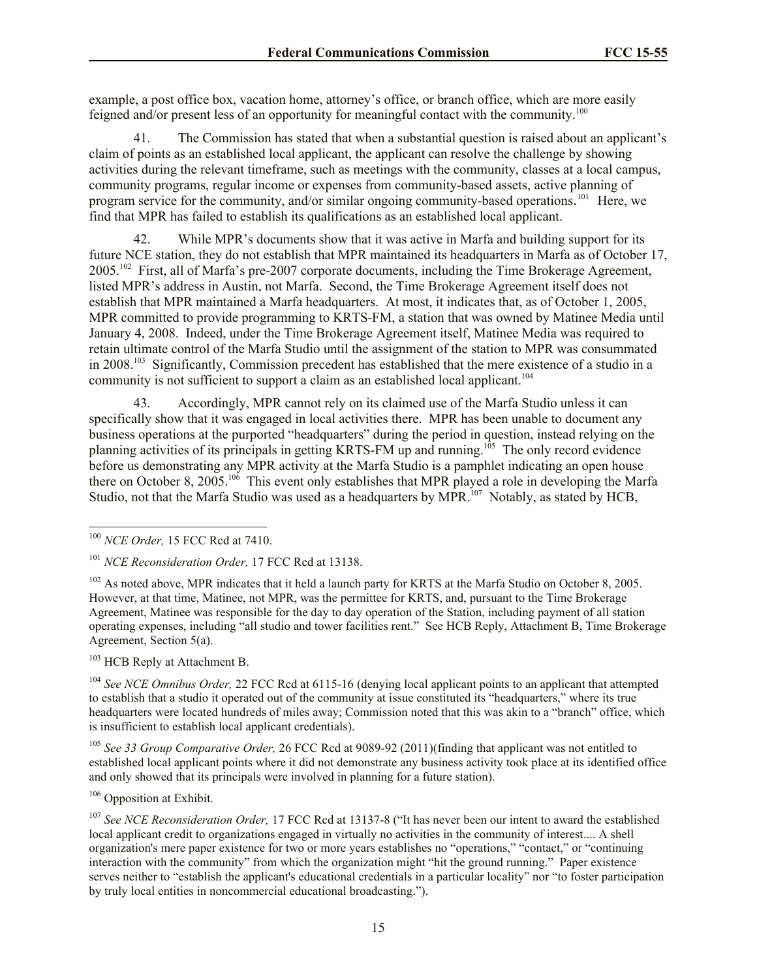example, a post office box, vacation home, attorney's office, or branch office, which are more easily feigned and/or present less of an opportunity for meaningful contact with the community.<sup>100</sup>

41. The Commission has stated that when a substantial question is raised about an applicant's claim of points as an established local applicant, the applicant can resolve the challenge by showing activities during the relevant timeframe, such as meetings with the community, classes at a local campus, community programs, regular income or expenses from community-based assets, active planning of program service for the community, and/or similar ongoing community-based operations.<sup>101</sup> Here, we find that MPR has failed to establish its qualifications as an established local applicant.

42. While MPR's documents show that it was active in Marfa and building support for its future NCE station, they do not establish that MPR maintained its headquarters in Marfa as of October 17, 2005.<sup>102</sup> First, all of Marfa's pre-2007 corporate documents, including the Time Brokerage Agreement, listed MPR's address in Austin, not Marfa. Second, the Time Brokerage Agreement itself does not establish that MPR maintained a Marfa headquarters. At most, it indicates that, as of October 1, 2005, MPR committed to provide programming to KRTS-FM, a station that was owned by Matinee Media until January 4, 2008. Indeed, under the Time Brokerage Agreement itself, Matinee Media was required to retain ultimate control of the Marfa Studio until the assignment of the station to MPR was consummated in 2008.<sup>103</sup> Significantly, Commission precedent has established that the mere existence of a studio in a community is not sufficient to support a claim as an established local applicant.<sup>104</sup>

43. Accordingly, MPR cannot rely on its claimed use of the Marfa Studio unless it can specifically show that it was engaged in local activities there. MPR has been unable to document any business operations at the purported "headquarters" during the period in question, instead relying on the planning activities of its principals in getting KRTS-FM up and running.<sup>105</sup> The only record evidence before us demonstrating any MPR activity at the Marfa Studio is a pamphlet indicating an open house there on October 8, 2005.<sup>106</sup> This event only establishes that MPR played a role in developing the Marfa Studio, not that the Marfa Studio was used as a headquarters by MPR. $107$  Notably, as stated by HCB,

<sup>103</sup> HCB Reply at Attachment B.

<sup>104</sup> *See NCE Omnibus Order,* 22 FCC Rcd at 6115-16 (denying local applicant points to an applicant that attempted to establish that a studio it operated out of the community at issue constituted its "headquarters," where its true headquarters were located hundreds of miles away; Commission noted that this was akin to a "branch" office, which is insufficient to establish local applicant credentials).

<sup>105</sup> *See 33 Group Comparative Order,* 26 FCC Rcd at 9089-92 (2011)(finding that applicant was not entitled to established local applicant points where it did not demonstrate any business activity took place at its identified office and only showed that its principals were involved in planning for a future station).

<sup>106</sup> Opposition at Exhibit.

<sup>107</sup> *See NCE Reconsideration Order,* 17 FCC Rcd at 13137-8 ("It has never been our intent to award the established local applicant credit to organizations engaged in virtually no activities in the community of interest.... A shell organization's mere paper existence for two or more years establishes no "operations," "contact," or "continuing interaction with the community" from which the organization might "hit the ground running." Paper existence serves neither to "establish the applicant's educational credentials in a particular locality" nor "to foster participation by truly local entities in noncommercial educational broadcasting.").

 $\overline{\phantom{a}}$ <sup>100</sup> *NCE Order,* 15 FCC Rcd at 7410.

<sup>101</sup> *NCE Reconsideration Order,* 17 FCC Rcd at 13138.

<sup>&</sup>lt;sup>102</sup> As noted above, MPR indicates that it held a launch party for KRTS at the Marfa Studio on October 8, 2005. However, at that time, Matinee, not MPR, was the permittee for KRTS, and, pursuant to the Time Brokerage Agreement, Matinee was responsible for the day to day operation of the Station, including payment of all station operating expenses, including "all studio and tower facilities rent." See HCB Reply, Attachment B, Time Brokerage Agreement, Section 5(a).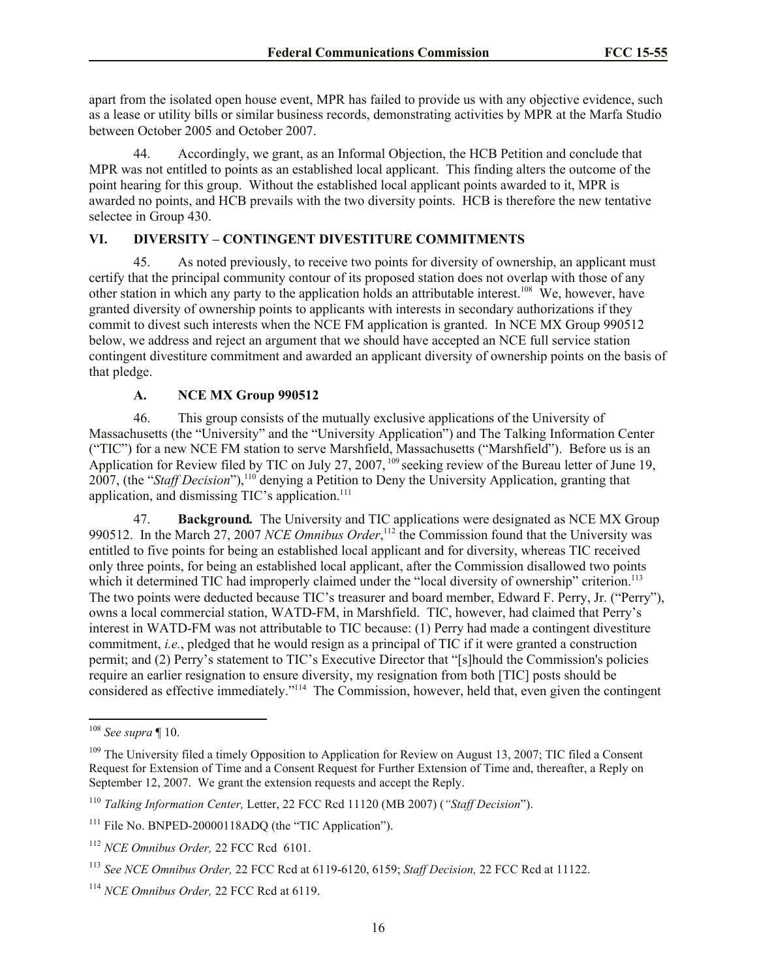apart from the isolated open house event, MPR has failed to provide us with any objective evidence, such as a lease or utility bills or similar business records, demonstrating activities by MPR at the Marfa Studio between October 2005 and October 2007.

44. Accordingly, we grant, as an Informal Objection, the HCB Petition and conclude that MPR was not entitled to points as an established local applicant. This finding alters the outcome of the point hearing for this group. Without the established local applicant points awarded to it, MPR is awarded no points, and HCB prevails with the two diversity points. HCB is therefore the new tentative selectee in Group 430.

# **VI. DIVERSITY – CONTINGENT DIVESTITURE COMMITMENTS**

45. As noted previously, to receive two points for diversity of ownership, an applicant must certify that the principal community contour of its proposed station does not overlap with those of any other station in which any party to the application holds an attributable interest.<sup>108</sup> We, however, have granted diversity of ownership points to applicants with interests in secondary authorizations if they commit to divest such interests when the NCE FM application is granted. In NCE MX Group 990512 below, we address and reject an argument that we should have accepted an NCE full service station contingent divestiture commitment and awarded an applicant diversity of ownership points on the basis of that pledge.

# **A. NCE MX Group 990512**

46. This group consists of the mutually exclusive applications of the University of Massachusetts (the "University" and the "University Application") and The Talking Information Center ("TIC") for a new NCE FM station to serve Marshfield, Massachusetts ("Marshfield"). Before us is an Application for Review filed by TIC on July 27, 2007,  $^{109}$  seeking review of the Bureau letter of June 19, 2007, (the "*Staff Decision*"), <sup>110</sup> denying a Petition to Deny the University Application, granting that application, and dismissing TIC's application.<sup>111</sup>

47. **Background***.* The University and TIC applications were designated as NCE MX Group 990512. In the March 27, 2007 *NCE Omnibus Order*, <sup>112</sup> the Commission found that the University was entitled to five points for being an established local applicant and for diversity, whereas TIC received only three points, for being an established local applicant, after the Commission disallowed two points which it determined TIC had improperly claimed under the "local diversity of ownership" criterion.<sup>113</sup> The two points were deducted because TIC's treasurer and board member, Edward F. Perry, Jr. ("Perry"), owns a local commercial station, WATD-FM, in Marshfield. TIC, however, had claimed that Perry's interest in WATD-FM was not attributable to TIC because: (1) Perry had made a contingent divestiture commitment, *i.e.*, pledged that he would resign as a principal of TIC if it were granted a construction permit; and (2) Perry's statement to TIC's Executive Director that "[s]hould the Commission's policies require an earlier resignation to ensure diversity, my resignation from both [TIC] posts should be considered as effective immediately."<sup>114</sup> The Commission, however, held that, even given the contingent

 $\overline{\phantom{a}}$ 

<sup>108</sup> *See supra* ¶ 10.

<sup>&</sup>lt;sup>109</sup> The University filed a timely Opposition to Application for Review on August 13, 2007; TIC filed a Consent Request for Extension of Time and a Consent Request for Further Extension of Time and, thereafter, a Reply on September 12, 2007. We grant the extension requests and accept the Reply.

<sup>110</sup> *Talking Information Center,* Letter, 22 FCC Rcd 11120 (MB 2007) (*"Staff Decision*").

<sup>&</sup>lt;sup>111</sup> File No. BNPED-20000118ADO (the "TIC Application").

<sup>112</sup> *NCE Omnibus Order,* 22 FCC Rcd 6101.

<sup>113</sup> *See NCE Omnibus Order,* 22 FCC Rcd at 6119-6120, 6159; *Staff Decision,* 22 FCC Rcd at 11122.

<sup>114</sup> *NCE Omnibus Order,* 22 FCC Rcd at 6119.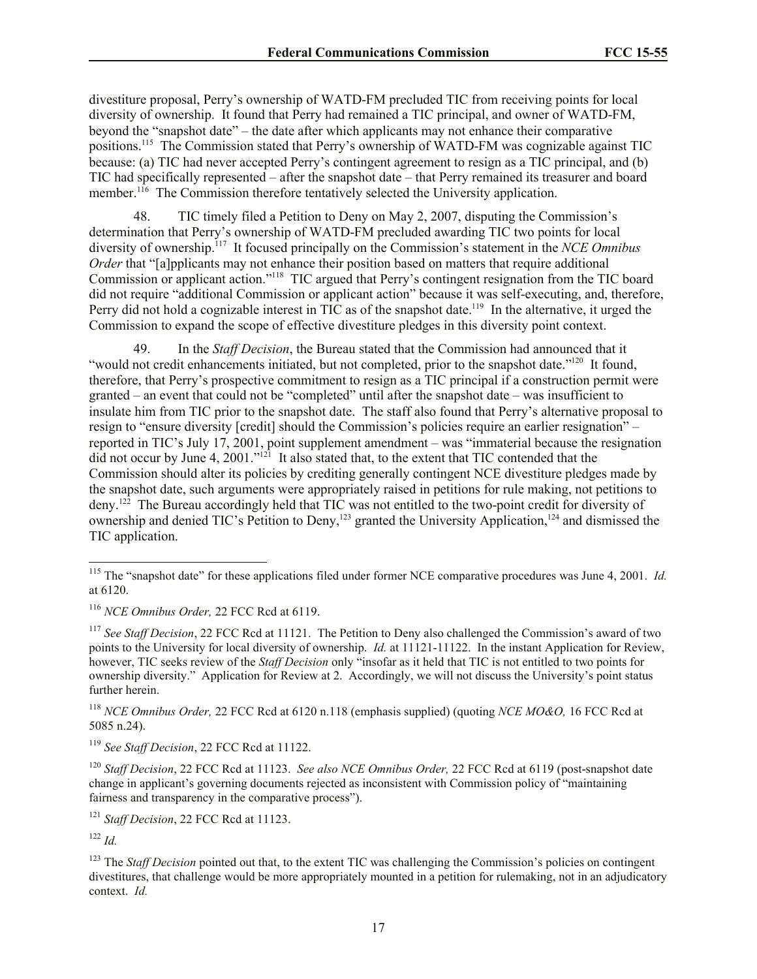divestiture proposal, Perry's ownership of WATD-FM precluded TIC from receiving points for local diversity of ownership. It found that Perry had remained a TIC principal, and owner of WATD-FM, beyond the "snapshot date" – the date after which applicants may not enhance their comparative positions.<sup>115</sup> The Commission stated that Perry's ownership of WATD-FM was cognizable against TIC because: (a) TIC had never accepted Perry's contingent agreement to resign as a TIC principal, and (b) TIC had specifically represented – after the snapshot date – that Perry remained its treasurer and board member.<sup>116</sup> The Commission therefore tentatively selected the University application.

48. TIC timely filed a Petition to Deny on May 2, 2007, disputing the Commission's determination that Perry's ownership of WATD-FM precluded awarding TIC two points for local diversity of ownership.<sup>117</sup> It focused principally on the Commission's statement in the *NCE Omnibus Order* that "[a]pplicants may not enhance their position based on matters that require additional Commission or applicant action."<sup>118</sup> TIC argued that Perry's contingent resignation from the TIC board did not require "additional Commission or applicant action" because it was self-executing, and, therefore, Perry did not hold a cognizable interest in TIC as of the snapshot date.<sup>119</sup> In the alternative, it urged the Commission to expand the scope of effective divestiture pledges in this diversity point context.

49. In the *Staff Decision*, the Bureau stated that the Commission had announced that it "would not credit enhancements initiated, but not completed, prior to the snapshot date."<sup>120</sup> It found, therefore, that Perry's prospective commitment to resign as a TIC principal if a construction permit were granted – an event that could not be "completed" until after the snapshot date – was insufficient to insulate him from TIC prior to the snapshot date. The staff also found that Perry's alternative proposal to resign to "ensure diversity [credit] should the Commission's policies require an earlier resignation" – reported in TIC's July 17, 2001, point supplement amendment – was "immaterial because the resignation did not occur by June 4, 2001."<sup>121</sup> It also stated that, to the extent that TIC contended that the Commission should alter its policies by crediting generally contingent NCE divestiture pledges made by the snapshot date, such arguments were appropriately raised in petitions for rule making, not petitions to deny.<sup>122</sup> The Bureau accordingly held that TIC was not entitled to the two-point credit for diversity of ownership and denied TIC's Petition to Deny,<sup>123</sup> granted the University Application,<sup>124</sup> and dismissed the TIC application.

<sup>117</sup> *See Staff Decision*, 22 FCC Rcd at 11121. The Petition to Deny also challenged the Commission's award of two points to the University for local diversity of ownership. *Id.* at 11121-11122. In the instant Application for Review, however, TIC seeks review of the *Staff Decision* only "insofar as it held that TIC is not entitled to two points for ownership diversity." Application for Review at 2. Accordingly, we will not discuss the University's point status further herein.

 $\overline{\phantom{a}}$ 

<sup>&</sup>lt;sup>115</sup> The "snapshot date" for these applications filed under former NCE comparative procedures was June 4, 2001. *Id.* at 6120.

<sup>116</sup> *NCE Omnibus Order,* 22 FCC Rcd at 6119.

<sup>118</sup> *NCE Omnibus Order,* 22 FCC Rcd at 6120 n.118 (emphasis supplied) (quoting *NCE MO&O,* 16 FCC Rcd at 5085 n.24).

<sup>119</sup> *See Staff Decision*, 22 FCC Rcd at 11122.

<sup>120</sup> *Staff Decision*, 22 FCC Rcd at 11123. *See also NCE Omnibus Order,* 22 FCC Rcd at 6119 (post-snapshot date change in applicant's governing documents rejected as inconsistent with Commission policy of "maintaining fairness and transparency in the comparative process").

<sup>&</sup>lt;sup>121</sup> *Staff Decision*, 22 FCC Rcd at 11123.

<sup>122</sup> *Id.*

<sup>&</sup>lt;sup>123</sup> The *Staff Decision* pointed out that, to the extent TIC was challenging the Commission's policies on contingent divestitures, that challenge would be more appropriately mounted in a petition for rulemaking, not in an adjudicatory context. *Id.*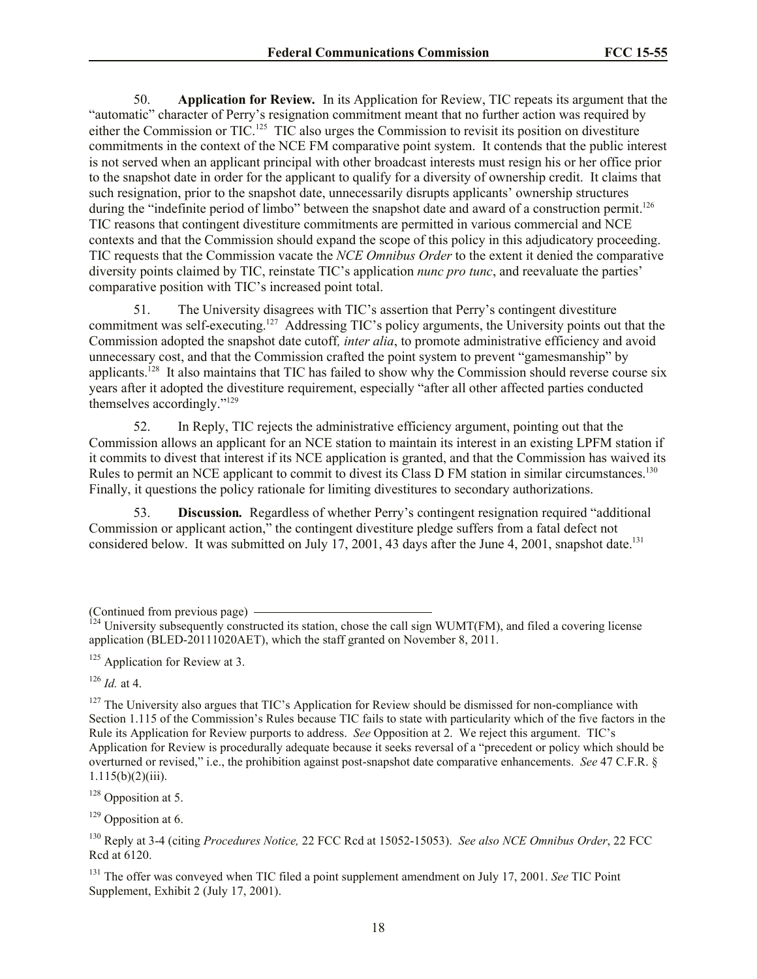50. **Application for Review***.* In its Application for Review, TIC repeats its argument that the "automatic" character of Perry's resignation commitment meant that no further action was required by either the Commission or TIC.<sup>125</sup> TIC also urges the Commission to revisit its position on divestiture commitments in the context of the NCE FM comparative point system. It contends that the public interest is not served when an applicant principal with other broadcast interests must resign his or her office prior to the snapshot date in order for the applicant to qualify for a diversity of ownership credit. It claims that such resignation, prior to the snapshot date, unnecessarily disrupts applicants' ownership structures during the "indefinite period of limbo" between the snapshot date and award of a construction permit.<sup>126</sup> TIC reasons that contingent divestiture commitments are permitted in various commercial and NCE contexts and that the Commission should expand the scope of this policy in this adjudicatory proceeding. TIC requests that the Commission vacate the *NCE Omnibus Order* to the extent it denied the comparative diversity points claimed by TIC, reinstate TIC's application *nunc pro tunc*, and reevaluate the parties' comparative position with TIC's increased point total.

51. The University disagrees with TIC's assertion that Perry's contingent divestiture commitment was self-executing.<sup>127</sup> Addressing TIC's policy arguments, the University points out that the Commission adopted the snapshot date cutoff*, inter alia*, to promote administrative efficiency and avoid unnecessary cost, and that the Commission crafted the point system to prevent "gamesmanship" by applicants.<sup>128</sup> It also maintains that TIC has failed to show why the Commission should reverse course six years after it adopted the divestiture requirement, especially "after all other affected parties conducted themselves accordingly."<sup>129</sup>

52. In Reply, TIC rejects the administrative efficiency argument, pointing out that the Commission allows an applicant for an NCE station to maintain its interest in an existing LPFM station if it commits to divest that interest if its NCE application is granted, and that the Commission has waived its Rules to permit an NCE applicant to commit to divest its Class D FM station in similar circumstances.<sup>130</sup> Finally, it questions the policy rationale for limiting divestitures to secondary authorizations.

53. **Discussion***.* Regardless of whether Perry's contingent resignation required "additional Commission or applicant action," the contingent divestiture pledge suffers from a fatal defect not considered below. It was submitted on July 17, 2001, 43 days after the June 4, 2001, snapshot date.<sup>131</sup>

 $126$  *Id.* at 4.

 $128$  Opposition at 5.

 $129$  Opposition at 6.

<sup>(</sup>Continued from previous page)

 $^{124}$  University subsequently constructed its station, chose the call sign WUMT(FM), and filed a covering license application (BLED-20111020AET), which the staff granted on November 8, 2011.

 $125$  Application for Review at 3.

 $127$  The University also argues that TIC's Application for Review should be dismissed for non-compliance with Section 1.115 of the Commission's Rules because TIC fails to state with particularity which of the five factors in the Rule its Application for Review purports to address. *See* Opposition at 2. We reject this argument. TIC's Application for Review is procedurally adequate because it seeks reversal of a "precedent or policy which should be overturned or revised," i.e., the prohibition against post-snapshot date comparative enhancements. *See* 47 C.F.R. §  $1.115(b)(2)(iii)$ .

<sup>130</sup> Reply at 3-4 (citing *Procedures Notice,* 22 FCC Rcd at 15052-15053). *See also NCE Omnibus Order*, 22 FCC Rcd at 6120.

<sup>131</sup> The offer was conveyed when TIC filed a point supplement amendment on July 17, 2001. *See* TIC Point Supplement, Exhibit 2 (July 17, 2001).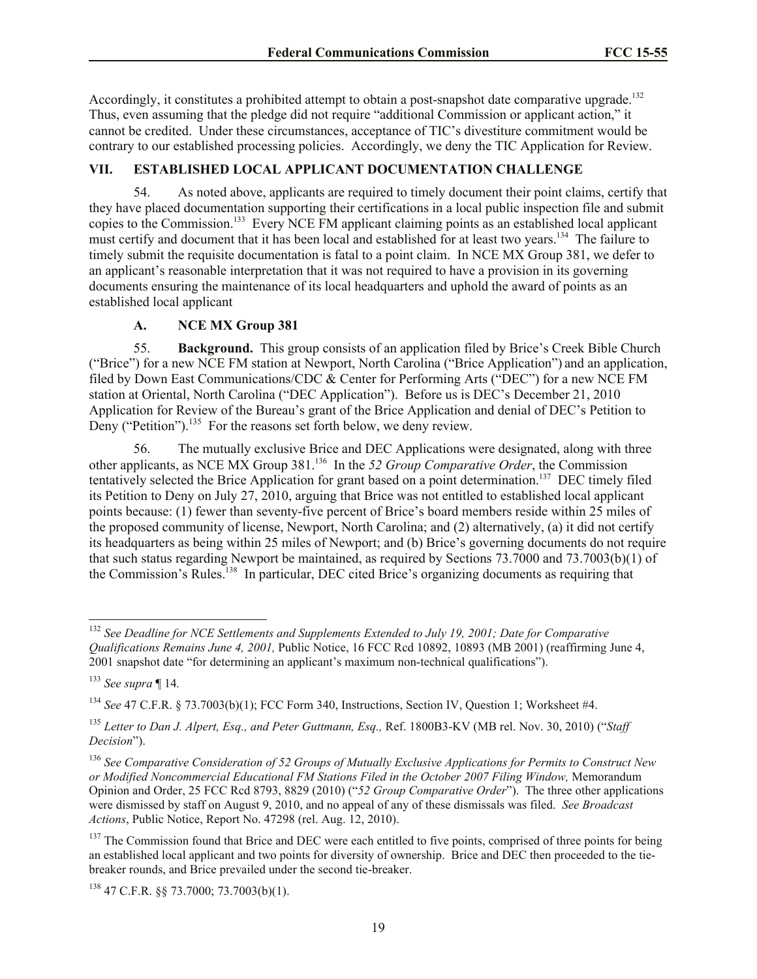Accordingly, it constitutes a prohibited attempt to obtain a post-snapshot date comparative upgrade.<sup>132</sup> Thus, even assuming that the pledge did not require "additional Commission or applicant action," it cannot be credited. Under these circumstances, acceptance of TIC's divestiture commitment would be contrary to our established processing policies. Accordingly, we deny the TIC Application for Review.

## **VII. ESTABLISHED LOCAL APPLICANT DOCUMENTATION CHALLENGE**

54. As noted above, applicants are required to timely document their point claims, certify that they have placed documentation supporting their certifications in a local public inspection file and submit copies to the Commission. 133 Every NCE FM applicant claiming points as an established local applicant must certify and document that it has been local and established for at least two years.<sup>134</sup> The failure to timely submit the requisite documentation is fatal to a point claim. In NCE MX Group 381, we defer to an applicant's reasonable interpretation that it was not required to have a provision in its governing documents ensuring the maintenance of its local headquarters and uphold the award of points as an established local applicant

### **A. NCE MX Group 381**

55. **Background.** This group consists of an application filed by Brice's Creek Bible Church ("Brice") for a new NCE FM station at Newport, North Carolina ("Brice Application") and an application, filed by Down East Communications/CDC & Center for Performing Arts ("DEC") for a new NCE FM station at Oriental, North Carolina ("DEC Application"). Before us is DEC's December 21, 2010 Application for Review of the Bureau's grant of the Brice Application and denial of DEC's Petition to Deny ("Petition").<sup>135</sup> For the reasons set forth below, we deny review.

56. The mutually exclusive Brice and DEC Applications were designated, along with three other applicants, as NCE MX Group 381.<sup>136</sup> In the 52 Group Comparative Order, the Commission tentatively selected the Brice Application for grant based on a point determination. 137 DEC timely filed its Petition to Deny on July 27, 2010, arguing that Brice was not entitled to established local applicant points because: (1) fewer than seventy-five percent of Brice's board members reside within 25 miles of the proposed community of license, Newport, North Carolina; and (2) alternatively, (a) it did not certify its headquarters as being within 25 miles of Newport; and (b) Brice's governing documents do not require that such status regarding Newport be maintained, as required by Sections 73.7000 and 73.7003(b)(1) of the Commission's Rules.<sup>138</sup> In particular, DEC cited Brice's organizing documents as requiring that

 $\overline{\phantom{a}}$ 

<sup>138</sup> 47 C.F.R. §§ 73.7000; 73.7003(b)(1).

<sup>132</sup> *See Deadline for NCE Settlements and Supplements Extended to July 19, 2001; Date for Comparative Qualifications Remains June 4, 2001,* Public Notice, 16 FCC Rcd 10892, 10893 (MB 2001) (reaffirming June 4, 2001 snapshot date "for determining an applicant's maximum non-technical qualifications").

<sup>133</sup> *See supra* ¶ 14*.*

<sup>134</sup> *See* 47 C.F.R. § 73.7003(b)(1); FCC Form 340, Instructions, Section IV, Question 1; Worksheet #4.

<sup>135</sup> *Letter to Dan J. Alpert, Esq., and Peter Guttmann, Esq.,* Ref. 1800B3-KV (MB rel. Nov. 30, 2010) ("*Staff Decision*").

<sup>136</sup> *See Comparative Consideration of 52 Groups of Mutually Exclusive Applications for Permits to Construct New or Modified Noncommercial Educational FM Stations Filed in the October 2007 Filing Window,* Memorandum Opinion and Order, 25 FCC Rcd 8793, 8829 (2010) ("*52 Group Comparative Order*"). The three other applications were dismissed by staff on August 9, 2010, and no appeal of any of these dismissals was filed. *See Broadcast Actions*, Public Notice, Report No. 47298 (rel. Aug. 12, 2010).

<sup>&</sup>lt;sup>137</sup> The Commission found that Brice and DEC were each entitled to five points, comprised of three points for being an established local applicant and two points for diversity of ownership. Brice and DEC then proceeded to the tiebreaker rounds, and Brice prevailed under the second tie-breaker.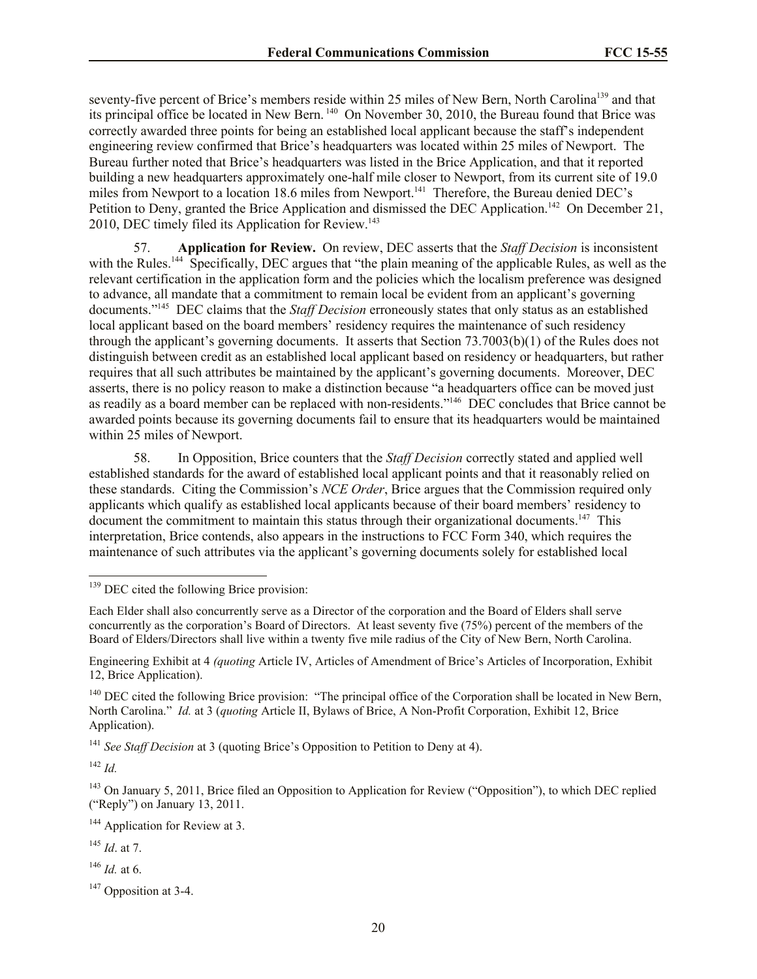seventy-five percent of Brice's members reside within 25 miles of New Bern, North Carolina<sup>139</sup> and that its principal office be located in New Bern.<sup>140</sup> On November 30, 2010, the Bureau found that Brice was correctly awarded three points for being an established local applicant because the staff's independent engineering review confirmed that Brice's headquarters was located within 25 miles of Newport. The Bureau further noted that Brice's headquarters was listed in the Brice Application, and that it reported building a new headquarters approximately one-half mile closer to Newport, from its current site of 19.0 miles from Newport to a location 18.6 miles from Newport.<sup>141</sup> Therefore, the Bureau denied DEC's Petition to Deny, granted the Brice Application and dismissed the DEC Application.<sup>142</sup> On December 21, 2010, DEC timely filed its Application for Review.<sup>143</sup>

57. **Application for Review.** On review, DEC asserts that the *Staff Decision* is inconsistent with the Rules.<sup>144</sup> Specifically, DEC argues that "the plain meaning of the applicable Rules, as well as the relevant certification in the application form and the policies which the localism preference was designed to advance, all mandate that a commitment to remain local be evident from an applicant's governing documents."<sup>145</sup> DEC claims that the *Staff Decision* erroneously states that only status as an established local applicant based on the board members' residency requires the maintenance of such residency through the applicant's governing documents. It asserts that Section 73.7003(b)(1) of the Rules does not distinguish between credit as an established local applicant based on residency or headquarters, but rather requires that all such attributes be maintained by the applicant's governing documents. Moreover, DEC asserts, there is no policy reason to make a distinction because "a headquarters office can be moved just as readily as a board member can be replaced with non-residents."<sup>146</sup> DEC concludes that Brice cannot be awarded points because its governing documents fail to ensure that its headquarters would be maintained within 25 miles of Newport.

58. In Opposition, Brice counters that the *Staff Decision* correctly stated and applied well established standards for the award of established local applicant points and that it reasonably relied on these standards. Citing the Commission's *NCE Order*, Brice argues that the Commission required only applicants which qualify as established local applicants because of their board members' residency to document the commitment to maintain this status through their organizational documents.<sup>147</sup> This interpretation, Brice contends, also appears in the instructions to FCC Form 340, which requires the maintenance of such attributes via the applicant's governing documents solely for established local

<sup>141</sup> *See Staff Decision* at 3 (quoting Brice's Opposition to Petition to Deny at 4).

 $142$  *Id.* 

l

<sup>143</sup> On January 5, 2011, Brice filed an Opposition to Application for Review ("Opposition"), to which DEC replied ("Reply") on January 13, 2011.

<sup>144</sup> Application for Review at 3.

<sup>145</sup> *Id*. at 7.

<sup>146</sup> *Id.* at 6.

<sup>&</sup>lt;sup>139</sup> DEC cited the following Brice provision:

Each Elder shall also concurrently serve as a Director of the corporation and the Board of Elders shall serve concurrently as the corporation's Board of Directors. At least seventy five (75%) percent of the members of the Board of Elders/Directors shall live within a twenty five mile radius of the City of New Bern, North Carolina.

Engineering Exhibit at 4 *(quoting* Article IV, Articles of Amendment of Brice's Articles of Incorporation, Exhibit 12, Brice Application).

<sup>&</sup>lt;sup>140</sup> DEC cited the following Brice provision: "The principal office of the Corporation shall be located in New Bern, North Carolina." *Id.* at 3 (*quoting* Article II, Bylaws of Brice, A Non-Profit Corporation, Exhibit 12, Brice Application).

<sup>&</sup>lt;sup>147</sup> Opposition at 3-4.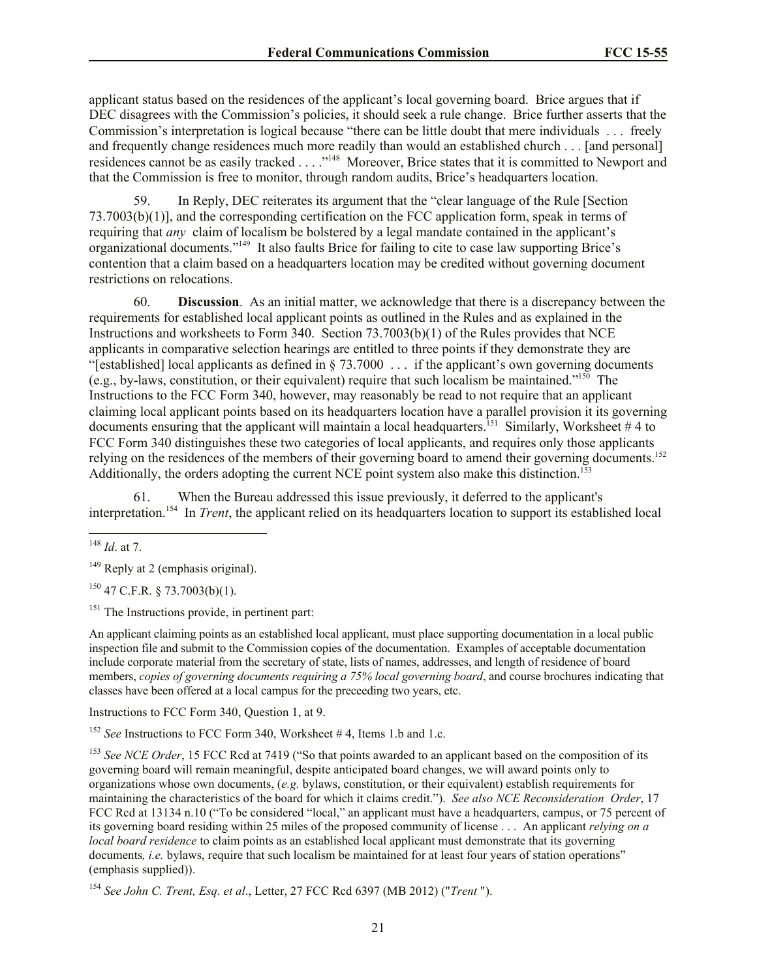applicant status based on the residences of the applicant's local governing board. Brice argues that if DEC disagrees with the Commission's policies, it should seek a rule change. Brice further asserts that the Commission's interpretation is logical because "there can be little doubt that mere individuals . . . freely and frequently change residences much more readily than would an established church . . . [and personal] residences cannot be as easily tracked . . . . "<sup>148</sup> Moreover, Brice states that it is committed to Newport and that the Commission is free to monitor, through random audits, Brice's headquarters location.

59. In Reply, DEC reiterates its argument that the "clear language of the Rule [Section 73.7003(b)(1)], and the corresponding certification on the FCC application form, speak in terms of requiring that *any* claim of localism be bolstered by a legal mandate contained in the applicant's organizational documents."<sup>149</sup> It also faults Brice for failing to cite to case law supporting Brice's contention that a claim based on a headquarters location may be credited without governing document restrictions on relocations.

60. **Discussion**. As an initial matter, we acknowledge that there is a discrepancy between the requirements for established local applicant points as outlined in the Rules and as explained in the Instructions and worksheets to Form 340. Section 73.7003(b)(1) of the Rules provides that NCE applicants in comparative selection hearings are entitled to three points if they demonstrate they are "[established] local applicants as defined in § 73.7000 . . . if the applicant's own governing documents (e.g., by-laws, constitution, or their equivalent) require that such localism be maintained."<sup>150</sup> The Instructions to the FCC Form 340, however, may reasonably be read to not require that an applicant claiming local applicant points based on its headquarters location have a parallel provision it its governing documents ensuring that the applicant will maintain a local headquarters.<sup>151</sup> Similarly, Worksheet #4 to FCC Form 340 distinguishes these two categories of local applicants, and requires only those applicants relying on the residences of the members of their governing board to amend their governing documents.<sup>152</sup> Additionally, the orders adopting the current NCE point system also make this distinction.<sup>153</sup>

61. When the Bureau addressed this issue previously, it deferred to the applicant's interpretation.<sup>154</sup> In *Trent*, the applicant relied on its headquarters location to support its established local

 $\overline{\phantom{a}}$ 

 $149$  Reply at 2 (emphasis original).

 $150$  47 C.F.R. § 73.7003(b)(1).

 $151$  The Instructions provide, in pertinent part:

An applicant claiming points as an established local applicant, must place supporting documentation in a local public inspection file and submit to the Commission copies of the documentation. Examples of acceptable documentation include corporate material from the secretary of state, lists of names, addresses, and length of residence of board members, *copies of governing documents requiring a 75% local governing board*, and course brochures indicating that classes have been offered at a local campus for the preceeding two years, etc.

Instructions to FCC Form 340, Question 1, at 9.

<sup>152</sup> *See* Instructions to FCC Form 340, Worksheet #4, Items 1.b and 1.c.

<sup>153</sup> *See NCE Order*, 15 FCC Rcd at 7419 ("So that points awarded to an applicant based on the composition of its governing board will remain meaningful, despite anticipated board changes, we will award points only to organizations whose own documents, (*e.g.* bylaws, constitution, or their equivalent) establish requirements for maintaining the characteristics of the board for which it claims credit."). *See also NCE Reconsideration Order*, 17 FCC Rcd at 13134 n.10 ("To be considered "local," an applicant must have a headquarters, campus, or 75 percent of its governing board residing within 25 miles of the proposed community of license . . . An applicant *relying on a local board residence* to claim points as an established local applicant must demonstrate that its governing documents, *i.e.* bylaws, require that such localism be maintained for at least four years of station operations" (emphasis supplied)).

<sup>154</sup> *See John C. Trent, Esq. et al*., Letter, 27 FCC Rcd 6397 (MB 2012) ("*Trent* ").

<sup>148</sup> *Id*. at 7.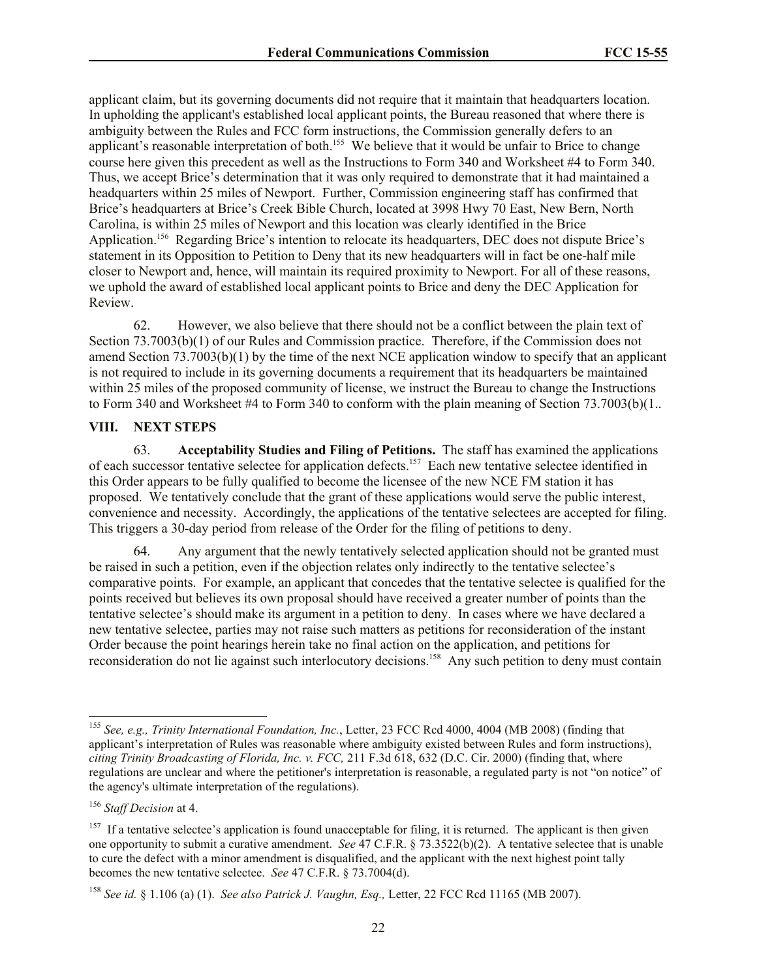applicant claim, but its governing documents did not require that it maintain that headquarters location. In upholding the applicant's established local applicant points, the Bureau reasoned that where there is ambiguity between the Rules and FCC form instructions, the Commission generally defers to an applicant's reasonable interpretation of both.<sup>155</sup> We believe that it would be unfair to Brice to change course here given this precedent as well as the Instructions to Form 340 and Worksheet #4 to Form 340. Thus, we accept Brice's determination that it was only required to demonstrate that it had maintained a headquarters within 25 miles of Newport. Further, Commission engineering staff has confirmed that Brice's headquarters at Brice's Creek Bible Church, located at 3998 Hwy 70 East, New Bern, North Carolina, is within 25 miles of Newport and this location was clearly identified in the Brice Application.<sup>156</sup> Regarding Brice's intention to relocate its headquarters, DEC does not dispute Brice's statement in its Opposition to Petition to Deny that its new headquarters will in fact be one-half mile closer to Newport and, hence, will maintain its required proximity to Newport. For all of these reasons, we uphold the award of established local applicant points to Brice and deny the DEC Application for Review.

62. However, we also believe that there should not be a conflict between the plain text of Section 73.7003(b)(1) of our Rules and Commission practice. Therefore, if the Commission does not amend Section 73.7003(b)(1) by the time of the next NCE application window to specify that an applicant is not required to include in its governing documents a requirement that its headquarters be maintained within 25 miles of the proposed community of license, we instruct the Bureau to change the Instructions to Form 340 and Worksheet #4 to Form 340 to conform with the plain meaning of Section 73.7003(b)(1..

### **VIII. NEXT STEPS**

63. **Acceptability Studies and Filing of Petitions.** The staff has examined the applications of each successor tentative selectee for application defects.<sup>157</sup> Each new tentative selectee identified in this Order appears to be fully qualified to become the licensee of the new NCE FM station it has proposed. We tentatively conclude that the grant of these applications would serve the public interest, convenience and necessity. Accordingly, the applications of the tentative selectees are accepted for filing. This triggers a 30-day period from release of the Order for the filing of petitions to deny.

64. Any argument that the newly tentatively selected application should not be granted must be raised in such a petition, even if the objection relates only indirectly to the tentative selectee's comparative points. For example, an applicant that concedes that the tentative selectee is qualified for the points received but believes its own proposal should have received a greater number of points than the tentative selectee's should make its argument in a petition to deny. In cases where we have declared a new tentative selectee, parties may not raise such matters as petitions for reconsideration of the instant Order because the point hearings herein take no final action on the application, and petitions for reconsideration do not lie against such interlocutory decisions.<sup>158</sup> Any such petition to deny must contain

l

<sup>155</sup> *See, e.g., Trinity International Foundation, Inc.*, Letter, 23 FCC Rcd 4000, 4004 (MB 2008) (finding that applicant's interpretation of Rules was reasonable where ambiguity existed between Rules and form instructions), *citing Trinity Broadcasting of Florida, Inc. v. FCC,* 211 F.3d 618, 632 (D.C. Cir. 2000) (finding that, where regulations are unclear and where the petitioner's interpretation is reasonable, a regulated party is not "on notice" of the agency's ultimate interpretation of the regulations).

<sup>156</sup> *Staff Decision* at 4.

 $157$  If a tentative selectee's application is found unacceptable for filing, it is returned. The applicant is then given one opportunity to submit a curative amendment. *See* 47 C.F.R. § 73.3522(b)(2). A tentative selectee that is unable to cure the defect with a minor amendment is disqualified, and the applicant with the next highest point tally becomes the new tentative selectee. *See* 47 C.F.R. § 73.7004(d).

<sup>158</sup> *See id.* § 1.106 (a) (1). *See also Patrick J. Vaughn, Esq.,* Letter, 22 FCC Rcd 11165 (MB 2007).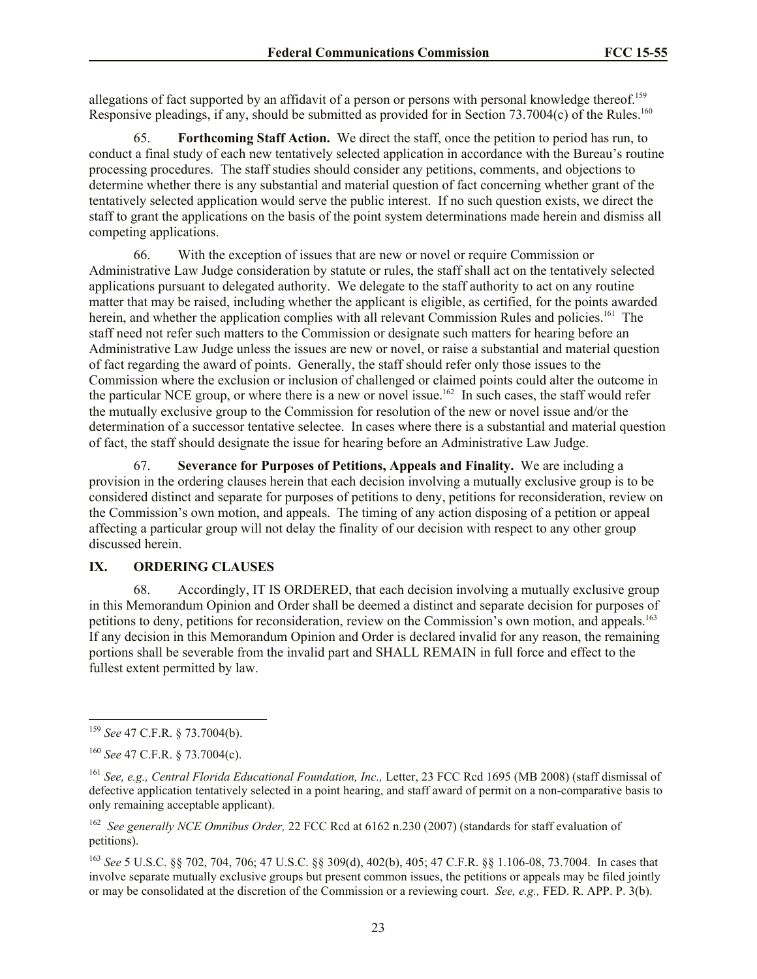allegations of fact supported by an affidavit of a person or persons with personal knowledge thereof.<sup>159</sup> Responsive pleadings, if any, should be submitted as provided for in Section 73.7004(c) of the Rules.<sup>160</sup>

65. **Forthcoming Staff Action.** We direct the staff, once the petition to period has run, to conduct a final study of each new tentatively selected application in accordance with the Bureau's routine processing procedures. The staff studies should consider any petitions, comments, and objections to determine whether there is any substantial and material question of fact concerning whether grant of the tentatively selected application would serve the public interest. If no such question exists, we direct the staff to grant the applications on the basis of the point system determinations made herein and dismiss all competing applications.

66. With the exception of issues that are new or novel or require Commission or Administrative Law Judge consideration by statute or rules, the staff shall act on the tentatively selected applications pursuant to delegated authority. We delegate to the staff authority to act on any routine matter that may be raised, including whether the applicant is eligible, as certified, for the points awarded herein, and whether the application complies with all relevant Commission Rules and policies.<sup>161</sup> The staff need not refer such matters to the Commission or designate such matters for hearing before an Administrative Law Judge unless the issues are new or novel, or raise a substantial and material question of fact regarding the award of points. Generally, the staff should refer only those issues to the Commission where the exclusion or inclusion of challenged or claimed points could alter the outcome in the particular NCE group, or where there is a new or novel issue.<sup>162</sup> In such cases, the staff would refer the mutually exclusive group to the Commission for resolution of the new or novel issue and/or the determination of a successor tentative selectee. In cases where there is a substantial and material question of fact, the staff should designate the issue for hearing before an Administrative Law Judge.

67. **Severance for Purposes of Petitions, Appeals and Finality.** We are including a provision in the ordering clauses herein that each decision involving a mutually exclusive group is to be considered distinct and separate for purposes of petitions to deny, petitions for reconsideration, review on the Commission's own motion, and appeals. The timing of any action disposing of a petition or appeal affecting a particular group will not delay the finality of our decision with respect to any other group discussed herein.

### **IX. ORDERING CLAUSES**

68. Accordingly, IT IS ORDERED, that each decision involving a mutually exclusive group in this Memorandum Opinion and Order shall be deemed a distinct and separate decision for purposes of petitions to deny, petitions for reconsideration, review on the Commission's own motion, and appeals.<sup>163</sup> If any decision in this Memorandum Opinion and Order is declared invalid for any reason, the remaining portions shall be severable from the invalid part and SHALL REMAIN in full force and effect to the fullest extent permitted by law.

 $\overline{\phantom{a}}$ 

<sup>159</sup> *See* 47 C.F.R. § 73.7004(b).

<sup>160</sup> *See* 47 C.F.R. § 73.7004(c).

<sup>161</sup> *See, e.g., Central Florida Educational Foundation, Inc.,* Letter, 23 FCC Rcd 1695 (MB 2008) (staff dismissal of defective application tentatively selected in a point hearing, and staff award of permit on a non-comparative basis to only remaining acceptable applicant).

<sup>162</sup> *See generally NCE Omnibus Order,* 22 FCC Rcd at 6162 n.230 (2007) (standards for staff evaluation of petitions).

<sup>163</sup> *See* 5 U.S.C. §§ 702, 704, 706; 47 U.S.C. §§ 309(d), 402(b), 405; 47 C.F.R. §§ 1.106-08, 73.7004. In cases that involve separate mutually exclusive groups but present common issues, the petitions or appeals may be filed jointly or may be consolidated at the discretion of the Commission or a reviewing court. *See, e.g.,* FED. R. APP. P. 3(b).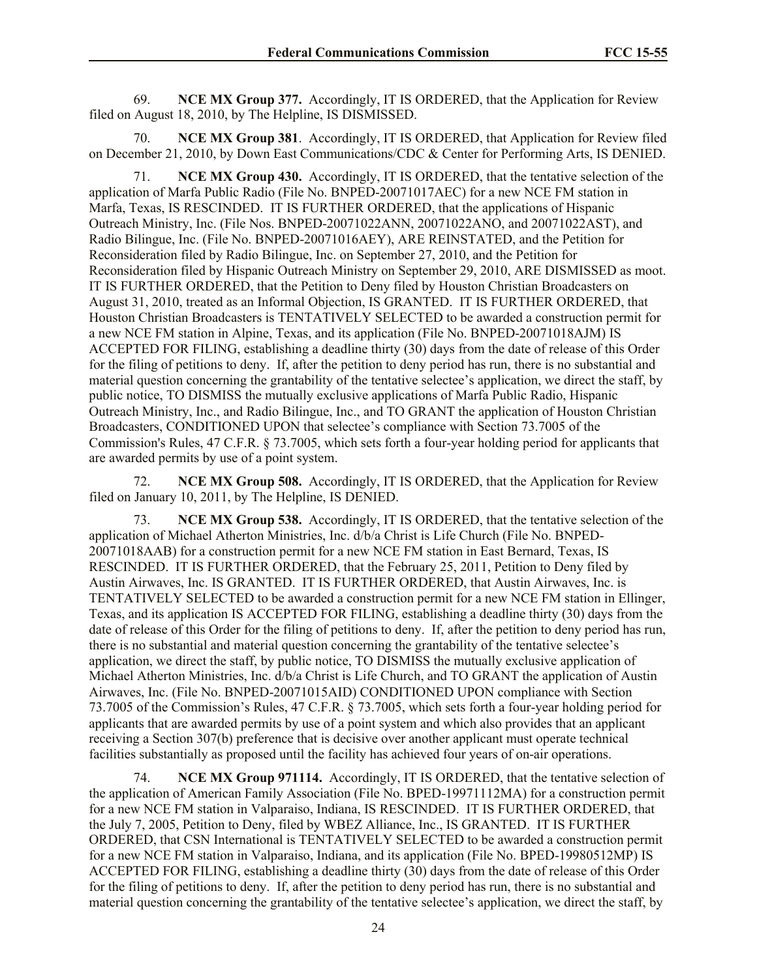69. **NCE MX Group 377.** Accordingly, IT IS ORDERED, that the Application for Review filed on August 18, 2010, by The Helpline, IS DISMISSED.

70. **NCE MX Group 381**. Accordingly, IT IS ORDERED, that Application for Review filed on December 21, 2010, by Down East Communications/CDC & Center for Performing Arts, IS DENIED.

71. **NCE MX Group 430.** Accordingly, IT IS ORDERED, that the tentative selection of the application of Marfa Public Radio (File No. BNPED-20071017AEC) for a new NCE FM station in Marfa, Texas, IS RESCINDED. IT IS FURTHER ORDERED, that the applications of Hispanic Outreach Ministry, Inc. (File Nos. BNPED-20071022ANN, 20071022ANO, and 20071022AST), and Radio Bilingue, Inc. (File No. BNPED-20071016AEY), ARE REINSTATED, and the Petition for Reconsideration filed by Radio Bilingue, Inc. on September 27, 2010, and the Petition for Reconsideration filed by Hispanic Outreach Ministry on September 29, 2010, ARE DISMISSED as moot. IT IS FURTHER ORDERED, that the Petition to Deny filed by Houston Christian Broadcasters on August 31, 2010, treated as an Informal Objection, IS GRANTED. IT IS FURTHER ORDERED, that Houston Christian Broadcasters is TENTATIVELY SELECTED to be awarded a construction permit for a new NCE FM station in Alpine, Texas, and its application (File No. BNPED-20071018AJM) IS ACCEPTED FOR FILING, establishing a deadline thirty (30) days from the date of release of this Order for the filing of petitions to deny. If, after the petition to deny period has run, there is no substantial and material question concerning the grantability of the tentative selectee's application, we direct the staff, by public notice, TO DISMISS the mutually exclusive applications of Marfa Public Radio, Hispanic Outreach Ministry, Inc., and Radio Bilingue, Inc., and TO GRANT the application of Houston Christian Broadcasters, CONDITIONED UPON that selectee's compliance with Section 73.7005 of the Commission's Rules, 47 C.F.R. § 73.7005, which sets forth a four-year holding period for applicants that are awarded permits by use of a point system.

72. **NCE MX Group 508.** Accordingly, IT IS ORDERED, that the Application for Review filed on January 10, 2011, by The Helpline, IS DENIED.

73. **NCE MX Group 538.** Accordingly, IT IS ORDERED, that the tentative selection of the application of Michael Atherton Ministries, Inc. d/b/a Christ is Life Church (File No. BNPED-20071018AAB) for a construction permit for a new NCE FM station in East Bernard, Texas, IS RESCINDED. IT IS FURTHER ORDERED, that the February 25, 2011, Petition to Deny filed by Austin Airwaves, Inc. IS GRANTED. IT IS FURTHER ORDERED, that Austin Airwaves, Inc. is TENTATIVELY SELECTED to be awarded a construction permit for a new NCE FM station in Ellinger, Texas, and its application IS ACCEPTED FOR FILING, establishing a deadline thirty (30) days from the date of release of this Order for the filing of petitions to deny. If, after the petition to deny period has run, there is no substantial and material question concerning the grantability of the tentative selectee's application, we direct the staff, by public notice, TO DISMISS the mutually exclusive application of Michael Atherton Ministries, Inc. d/b/a Christ is Life Church, and TO GRANT the application of Austin Airwaves, Inc. (File No. BNPED-20071015AID) CONDITIONED UPON compliance with Section 73.7005 of the Commission's Rules, 47 C.F.R. § 73.7005, which sets forth a four-year holding period for applicants that are awarded permits by use of a point system and which also provides that an applicant receiving a Section 307(b) preference that is decisive over another applicant must operate technical facilities substantially as proposed until the facility has achieved four years of on-air operations.

74. **NCE MX Group 971114.** Accordingly, IT IS ORDERED, that the tentative selection of the application of American Family Association (File No. BPED-19971112MA) for a construction permit for a new NCE FM station in Valparaiso, Indiana, IS RESCINDED. IT IS FURTHER ORDERED, that the July 7, 2005, Petition to Deny, filed by WBEZ Alliance, Inc., IS GRANTED. IT IS FURTHER ORDERED, that CSN International is TENTATIVELY SELECTED to be awarded a construction permit for a new NCE FM station in Valparaiso, Indiana, and its application (File No. BPED-19980512MP) IS ACCEPTED FOR FILING, establishing a deadline thirty (30) days from the date of release of this Order for the filing of petitions to deny. If, after the petition to deny period has run, there is no substantial and material question concerning the grantability of the tentative selectee's application, we direct the staff, by